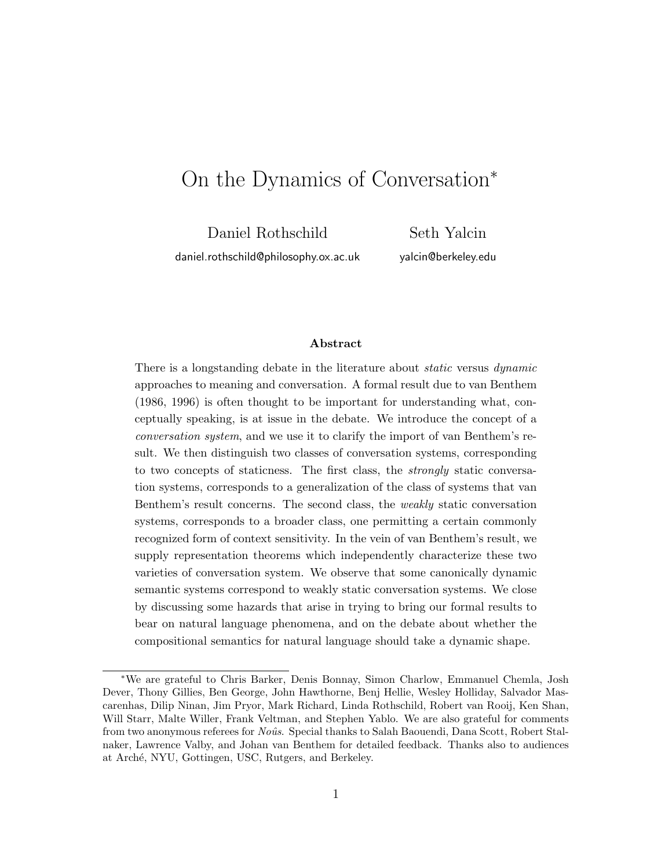# On the Dynamics of Conversation<sup>∗</sup>

Daniel Rothschild

Seth Yalcin

daniel.rothschild@philosophy.ox.ac.uk

yalcin@berkeley.edu

#### Abstract

There is a longstanding debate in the literature about *static* versus *dynamic* approaches to meaning and conversation. A formal result due to van Benthem (1986, 1996) is often thought to be important for understanding what, conceptually speaking, is at issue in the debate. We introduce the concept of a conversation system, and we use it to clarify the import of van Benthem's result. We then distinguish two classes of conversation systems, corresponding to two concepts of staticness. The first class, the strongly static conversation systems, corresponds to a generalization of the class of systems that van Benthem's result concerns. The second class, the weakly static conversation systems, corresponds to a broader class, one permitting a certain commonly recognized form of context sensitivity. In the vein of van Benthem's result, we supply representation theorems which independently characterize these two varieties of conversation system. We observe that some canonically dynamic semantic systems correspond to weakly static conversation systems. We close by discussing some hazards that arise in trying to bring our formal results to bear on natural language phenomena, and on the debate about whether the compositional semantics for natural language should take a dynamic shape.

<sup>∗</sup>We are grateful to Chris Barker, Denis Bonnay, Simon Charlow, Emmanuel Chemla, Josh Dever, Thony Gillies, Ben George, John Hawthorne, Benj Hellie, Wesley Holliday, Salvador Mascarenhas, Dilip Ninan, Jim Pryor, Mark Richard, Linda Rothschild, Robert van Rooij, Ken Shan, Will Starr, Malte Willer, Frank Veltman, and Stephen Yablo. We are also grateful for comments from two anonymous referees for *Noûs*. Special thanks to Salah Baouendi, Dana Scott, Robert Stalnaker, Lawrence Valby, and Johan van Benthem for detailed feedback. Thanks also to audiences at Arché, NYU, Gottingen, USC, Rutgers, and Berkeley.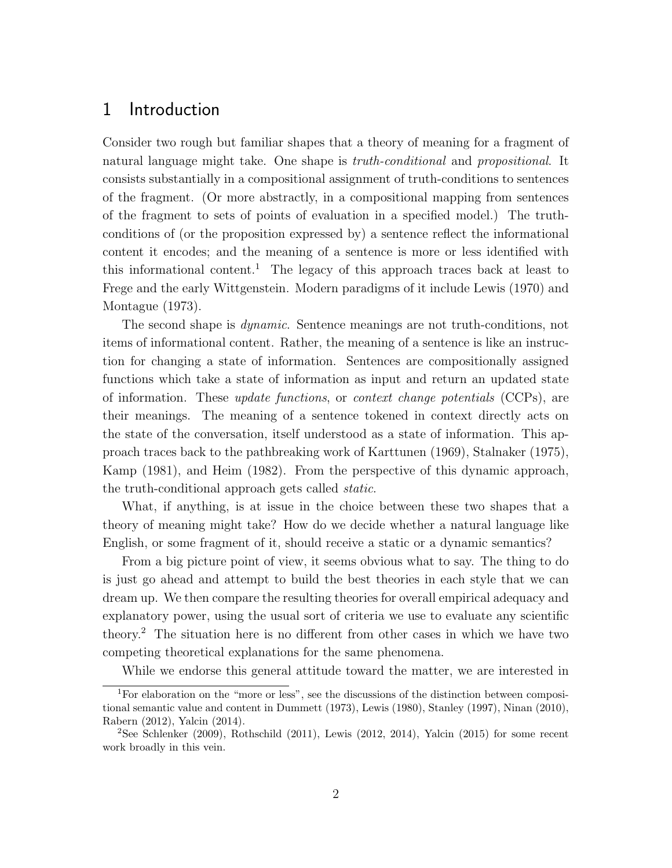#### 1 Introduction

Consider two rough but familiar shapes that a theory of meaning for a fragment of natural language might take. One shape is *truth-conditional* and *propositional*. It consists substantially in a compositional assignment of truth-conditions to sentences of the fragment. (Or more abstractly, in a compositional mapping from sentences of the fragment to sets of points of evaluation in a specified model.) The truthconditions of (or the proposition expressed by) a sentence reflect the informational content it encodes; and the meaning of a sentence is more or less identified with this informational content.<sup>1</sup> The legacy of this approach traces back at least to Frege and the early Wittgenstein. Modern paradigms of it include Lewis (1970) and Montague (1973).

The second shape is dynamic. Sentence meanings are not truth-conditions, not items of informational content. Rather, the meaning of a sentence is like an instruction for changing a state of information. Sentences are compositionally assigned functions which take a state of information as input and return an updated state of information. These update functions, or context change potentials (CCPs), are their meanings. The meaning of a sentence tokened in context directly acts on the state of the conversation, itself understood as a state of information. This approach traces back to the pathbreaking work of Karttunen (1969), Stalnaker (1975), Kamp (1981), and Heim (1982). From the perspective of this dynamic approach, the truth-conditional approach gets called static.

What, if anything, is at issue in the choice between these two shapes that a theory of meaning might take? How do we decide whether a natural language like English, or some fragment of it, should receive a static or a dynamic semantics?

From a big picture point of view, it seems obvious what to say. The thing to do is just go ahead and attempt to build the best theories in each style that we can dream up. We then compare the resulting theories for overall empirical adequacy and explanatory power, using the usual sort of criteria we use to evaluate any scientific theory.<sup>2</sup> The situation here is no different from other cases in which we have two competing theoretical explanations for the same phenomena.

While we endorse this general attitude toward the matter, we are interested in

<sup>&</sup>lt;sup>1</sup>For elaboration on the "more or less", see the discussions of the distinction between compositional semantic value and content in Dummett (1973), Lewis (1980), Stanley (1997), Ninan (2010), Rabern (2012), Yalcin (2014).

<sup>&</sup>lt;sup>2</sup>See Schlenker (2009), Rothschild (2011), Lewis (2012, 2014), Yalcin (2015) for some recent work broadly in this vein.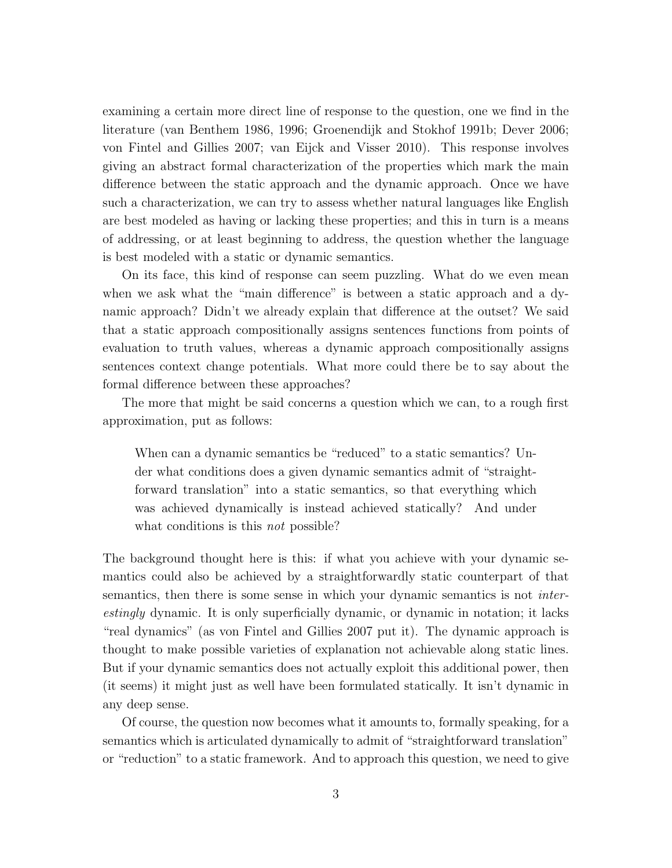examining a certain more direct line of response to the question, one we find in the literature (van Benthem 1986, 1996; Groenendijk and Stokhof 1991b; Dever 2006; von Fintel and Gillies 2007; van Eijck and Visser 2010). This response involves giving an abstract formal characterization of the properties which mark the main difference between the static approach and the dynamic approach. Once we have such a characterization, we can try to assess whether natural languages like English are best modeled as having or lacking these properties; and this in turn is a means of addressing, or at least beginning to address, the question whether the language is best modeled with a static or dynamic semantics.

On its face, this kind of response can seem puzzling. What do we even mean when we ask what the "main difference" is between a static approach and a dynamic approach? Didn't we already explain that difference at the outset? We said that a static approach compositionally assigns sentences functions from points of evaluation to truth values, whereas a dynamic approach compositionally assigns sentences context change potentials. What more could there be to say about the formal difference between these approaches?

The more that might be said concerns a question which we can, to a rough first approximation, put as follows:

When can a dynamic semantics be "reduced" to a static semantics? Under what conditions does a given dynamic semantics admit of "straightforward translation" into a static semantics, so that everything which was achieved dynamically is instead achieved statically? And under what conditions is this *not* possible?

The background thought here is this: if what you achieve with your dynamic semantics could also be achieved by a straightforwardly static counterpart of that semantics, then there is some sense in which your dynamic semantics is not *inter*estingly dynamic. It is only superficially dynamic, or dynamic in notation; it lacks "real dynamics" (as von Fintel and Gillies 2007 put it). The dynamic approach is thought to make possible varieties of explanation not achievable along static lines. But if your dynamic semantics does not actually exploit this additional power, then (it seems) it might just as well have been formulated statically. It isn't dynamic in any deep sense.

Of course, the question now becomes what it amounts to, formally speaking, for a semantics which is articulated dynamically to admit of "straightforward translation" or "reduction" to a static framework. And to approach this question, we need to give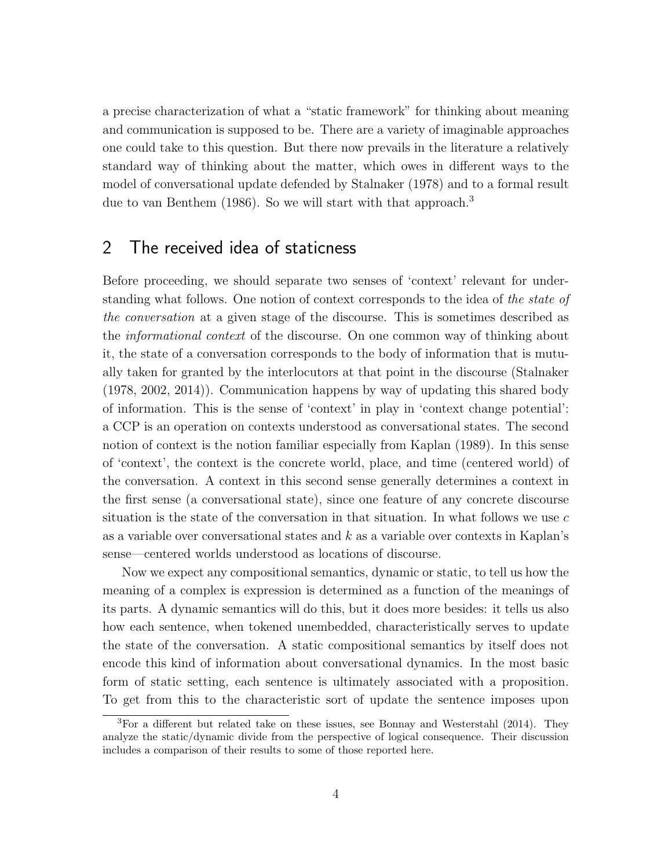a precise characterization of what a "static framework" for thinking about meaning and communication is supposed to be. There are a variety of imaginable approaches one could take to this question. But there now prevails in the literature a relatively standard way of thinking about the matter, which owes in different ways to the model of conversational update defended by Stalnaker (1978) and to a formal result due to van Benthem (1986). So we will start with that approach.<sup>3</sup>

#### 2 The received idea of staticness

Before proceeding, we should separate two senses of 'context' relevant for understanding what follows. One notion of context corresponds to the idea of the state of the conversation at a given stage of the discourse. This is sometimes described as the informational context of the discourse. On one common way of thinking about it, the state of a conversation corresponds to the body of information that is mutually taken for granted by the interlocutors at that point in the discourse (Stalnaker (1978, 2002, 2014)). Communication happens by way of updating this shared body of information. This is the sense of 'context' in play in 'context change potential': a CCP is an operation on contexts understood as conversational states. The second notion of context is the notion familiar especially from Kaplan (1989). In this sense of 'context', the context is the concrete world, place, and time (centered world) of the conversation. A context in this second sense generally determines a context in the first sense (a conversational state), since one feature of any concrete discourse situation is the state of the conversation in that situation. In what follows we use  $c$ as a variable over conversational states and  $k$  as a variable over contexts in Kaplan's sense—centered worlds understood as locations of discourse.

Now we expect any compositional semantics, dynamic or static, to tell us how the meaning of a complex is expression is determined as a function of the meanings of its parts. A dynamic semantics will do this, but it does more besides: it tells us also how each sentence, when tokened unembedded, characteristically serves to update the state of the conversation. A static compositional semantics by itself does not encode this kind of information about conversational dynamics. In the most basic form of static setting, each sentence is ultimately associated with a proposition. To get from this to the characteristic sort of update the sentence imposes upon

 $\overline{{}^3$  For a different but related take on these issues, see Bonnay and Westerstahl (2014). They analyze the static/dynamic divide from the perspective of logical consequence. Their discussion includes a comparison of their results to some of those reported here.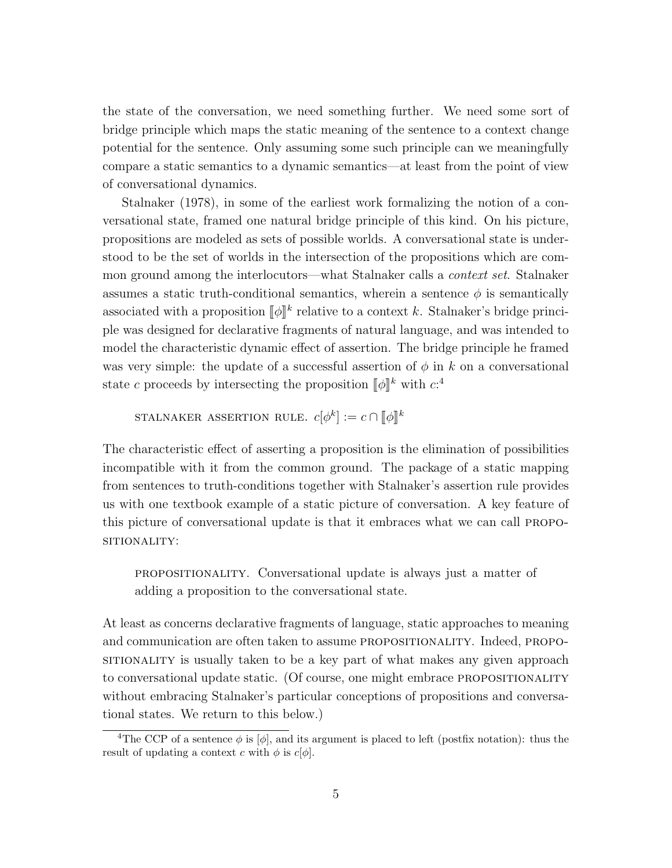the state of the conversation, we need something further. We need some sort of bridge principle which maps the static meaning of the sentence to a context change potential for the sentence. Only assuming some such principle can we meaningfully compare a static semantics to a dynamic semantics—at least from the point of view of conversational dynamics.

Stalnaker (1978), in some of the earliest work formalizing the notion of a conversational state, framed one natural bridge principle of this kind. On his picture, propositions are modeled as sets of possible worlds. A conversational state is understood to be the set of worlds in the intersection of the propositions which are common ground among the interlocutors—what Stalnaker calls a *context set*. Stalnaker assumes a static truth-conditional semantics, wherein a sentence  $\phi$  is semantically associated with a proposition  $[\![\phi]\!]^k$  relative to a context k. Stalnaker's bridge principle was designed for declarative fragments of natural language, and was intended to model the characteristic dynamic effect of assertion. The bridge principle he framed was very simple: the update of a successful assertion of  $\phi$  in k on a conversational state c proceeds by intersecting the proposition  $[\![\phi]\!]^k$  with  $c$ :<sup>4</sup>

STALNAKER ASSERTION RULE.  $c[\phi^k] := c \cap [\![\phi]\!]^k$ 

The characteristic effect of asserting a proposition is the elimination of possibilities incompatible with it from the common ground. The package of a static mapping from sentences to truth-conditions together with Stalnaker's assertion rule provides us with one textbook example of a static picture of conversation. A key feature of this picture of conversational update is that it embraces what we can call propo-SITIONALITY:

propositionality. Conversational update is always just a matter of adding a proposition to the conversational state.

At least as concerns declarative fragments of language, static approaches to meaning and communication are often taken to assume propositionality. Indeed, propositionality is usually taken to be a key part of what makes any given approach to conversational update static. (Of course, one might embrace propositionality without embracing Stalnaker's particular conceptions of propositions and conversational states. We return to this below.)

<sup>&</sup>lt;sup>4</sup>The CCP of a sentence  $\phi$  is  $[\phi]$ , and its argument is placed to left (postfix notation): thus the result of updating a context c with  $\phi$  is  $c[\phi]$ .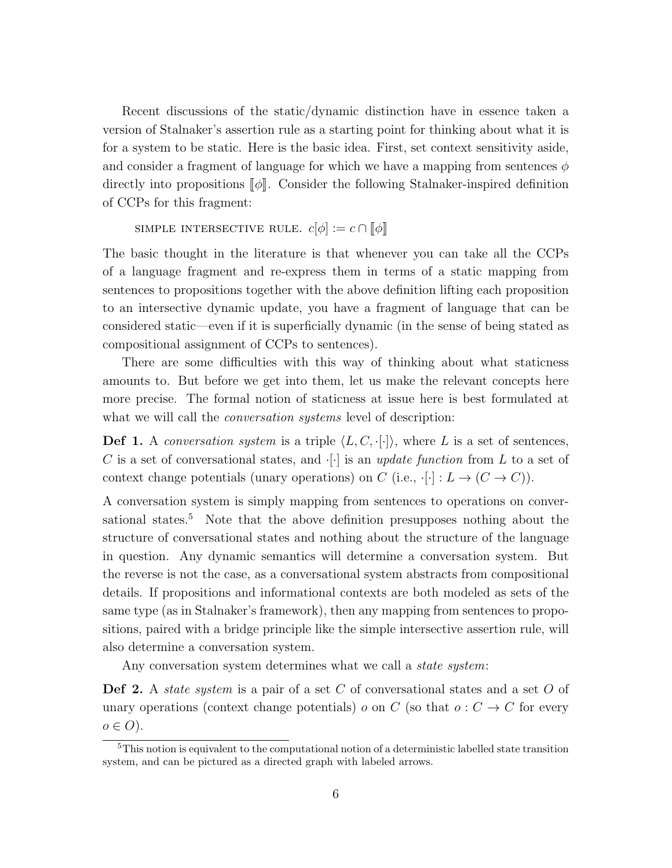Recent discussions of the static/dynamic distinction have in essence taken a version of Stalnaker's assertion rule as a starting point for thinking about what it is for a system to be static. Here is the basic idea. First, set context sensitivity aside, and consider a fragment of language for which we have a mapping from sentences  $\phi$ directly into propositions  $\llbracket \phi \rrbracket$ . Consider the following Stalnaker-inspired definition of CCPs for this fragment:

SIMPLE INTERSECTIVE RULE.  $c[\phi] := c \cap [\![\phi]\!]$ 

The basic thought in the literature is that whenever you can take all the CCPs of a language fragment and re-express them in terms of a static mapping from sentences to propositions together with the above definition lifting each proposition to an intersective dynamic update, you have a fragment of language that can be considered static—even if it is superficially dynamic (in the sense of being stated as compositional assignment of CCPs to sentences).

There are some difficulties with this way of thinking about what staticness amounts to. But before we get into them, let us make the relevant concepts here more precise. The formal notion of staticness at issue here is best formulated at what we will call the *conversation systems* level of description:

**Def 1.** A conversation system is a triple  $\langle L, C, \cdot | \cdot \rangle$ , where L is a set of sentences, C is a set of conversational states, and  $\cdot[\cdot]$  is an update function from L to a set of context change potentials (unary operations) on C (i.e.,  $\cdot [\cdot] : L \to (C \to C)$ ).

A conversation system is simply mapping from sentences to operations on conversational states.<sup>5</sup> Note that the above definition presupposes nothing about the structure of conversational states and nothing about the structure of the language in question. Any dynamic semantics will determine a conversation system. But the reverse is not the case, as a conversational system abstracts from compositional details. If propositions and informational contexts are both modeled as sets of the same type (as in Stalnaker's framework), then any mapping from sentences to propositions, paired with a bridge principle like the simple intersective assertion rule, will also determine a conversation system.

Any conversation system determines what we call a *state system*:

**Def 2.** A state system is a pair of a set C of conversational states and a set O of unary operations (context change potentials)  $o$  on C (so that  $o: C \to C$  for every  $o \in O$ ).

<sup>&</sup>lt;sup>5</sup>This notion is equivalent to the computational notion of a deterministic labelled state transition system, and can be pictured as a directed graph with labeled arrows.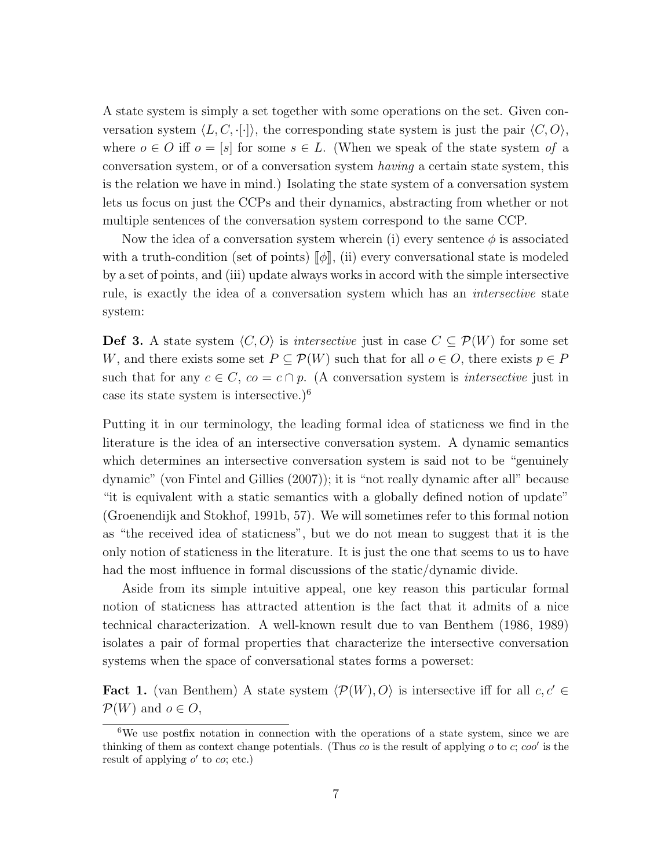A state system is simply a set together with some operations on the set. Given conversation system  $\langle L, C, \cdot | \cdot | \rangle$ , the corresponding state system is just the pair  $\langle C, O \rangle$ , where  $o \in O$  iff  $o = [s]$  for some  $s \in L$ . (When we speak of the state system of a conversation system, or of a conversation system having a certain state system, this is the relation we have in mind.) Isolating the state system of a conversation system lets us focus on just the CCPs and their dynamics, abstracting from whether or not multiple sentences of the conversation system correspond to the same CCP.

Now the idea of a conversation system wherein (i) every sentence  $\phi$  is associated with a truth-condition (set of points)  $\llbracket \phi \rrbracket$ , (ii) every conversational state is modeled by a set of points, and (iii) update always works in accord with the simple intersective rule, is exactly the idea of a conversation system which has an *intersective* state system:

**Def 3.** A state system  $\langle C, O \rangle$  is *intersective* just in case  $C \subseteq \mathcal{P}(W)$  for some set W, and there exists some set  $P \subseteq \mathcal{P}(W)$  such that for all  $o \in O$ , there exists  $p \in P$ such that for any  $c \in C$ ,  $co = c \cap p$ . (A conversation system is *intersective* just in case its state system is intersective.) $^{6}$ 

Putting it in our terminology, the leading formal idea of staticness we find in the literature is the idea of an intersective conversation system. A dynamic semantics which determines an intersective conversation system is said not to be "genuinely dynamic" (von Fintel and Gillies (2007)); it is "not really dynamic after all" because "it is equivalent with a static semantics with a globally defined notion of update" (Groenendijk and Stokhof, 1991b, 57). We will sometimes refer to this formal notion as "the received idea of staticness", but we do not mean to suggest that it is the only notion of staticness in the literature. It is just the one that seems to us to have had the most influence in formal discussions of the static/dynamic divide.

Aside from its simple intuitive appeal, one key reason this particular formal notion of staticness has attracted attention is the fact that it admits of a nice technical characterization. A well-known result due to van Benthem (1986, 1989) isolates a pair of formal properties that characterize the intersective conversation systems when the space of conversational states forms a powerset:

**Fact 1.** (van Benthem) A state system  $\langle \mathcal{P}(W), O \rangle$  is intersective iff for all  $c, c' \in$  $\mathcal{P}(W)$  and  $o \in O$ ,

<sup>6</sup>We use postfix notation in connection with the operations of a state system, since we are thinking of them as context change potentials. (Thus  $\omega$  is the result of applying  $\omega$  to  $c$ ;  $\omega \omega'$  is the result of applying  $o'$  to  $co$ ; etc.)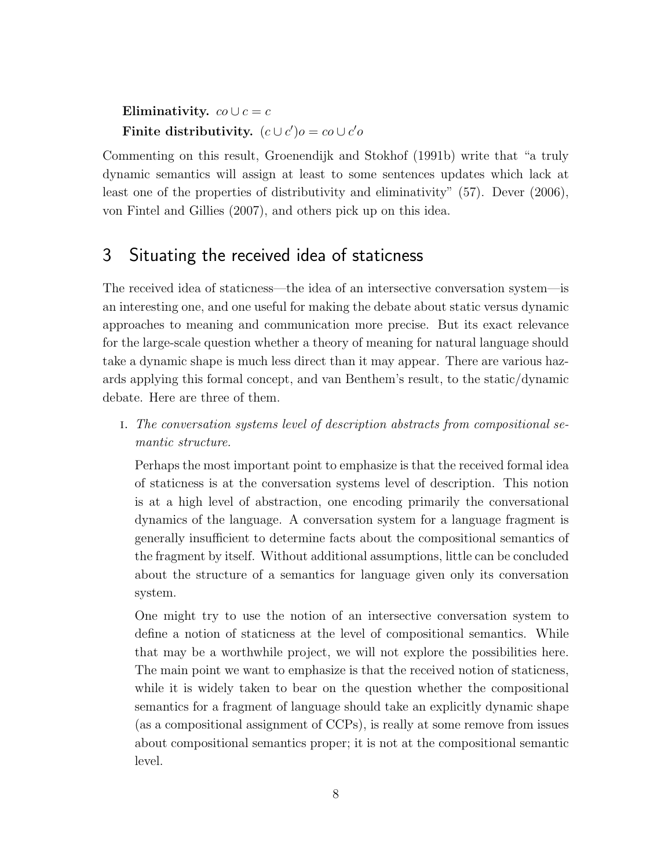Eliminativity.  $co \cup c = c$ Finite distributivity.  $(c \cup c')$  $o = co \cup c'$ 

Commenting on this result, Groenendijk and Stokhof (1991b) write that "a truly dynamic semantics will assign at least to some sentences updates which lack at least one of the properties of distributivity and eliminativity" (57). Dever (2006), von Fintel and Gillies (2007), and others pick up on this idea.

#### 3 Situating the received idea of staticness

The received idea of staticness—the idea of an intersective conversation system—is an interesting one, and one useful for making the debate about static versus dynamic approaches to meaning and communication more precise. But its exact relevance for the large-scale question whether a theory of meaning for natural language should take a dynamic shape is much less direct than it may appear. There are various hazards applying this formal concept, and van Benthem's result, to the static/dynamic debate. Here are three of them.

i. The conversation systems level of description abstracts from compositional semantic structure.

Perhaps the most important point to emphasize is that the received formal idea of staticness is at the conversation systems level of description. This notion is at a high level of abstraction, one encoding primarily the conversational dynamics of the language. A conversation system for a language fragment is generally insufficient to determine facts about the compositional semantics of the fragment by itself. Without additional assumptions, little can be concluded about the structure of a semantics for language given only its conversation system.

One might try to use the notion of an intersective conversation system to define a notion of staticness at the level of compositional semantics. While that may be a worthwhile project, we will not explore the possibilities here. The main point we want to emphasize is that the received notion of staticness, while it is widely taken to bear on the question whether the compositional semantics for a fragment of language should take an explicitly dynamic shape (as a compositional assignment of CCPs), is really at some remove from issues about compositional semantics proper; it is not at the compositional semantic level.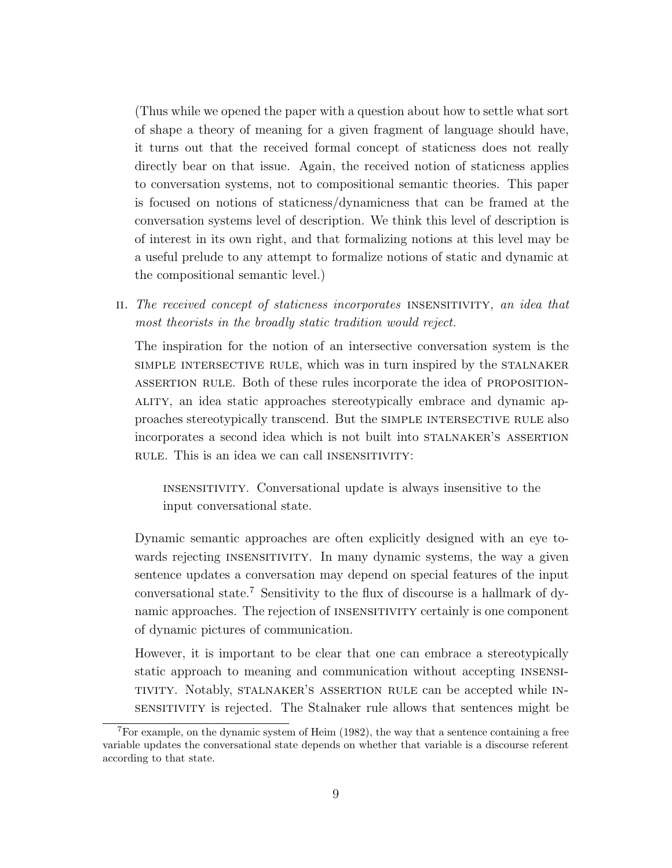(Thus while we opened the paper with a question about how to settle what sort of shape a theory of meaning for a given fragment of language should have, it turns out that the received formal concept of staticness does not really directly bear on that issue. Again, the received notion of staticness applies to conversation systems, not to compositional semantic theories. This paper is focused on notions of staticness/dynamicness that can be framed at the conversation systems level of description. We think this level of description is of interest in its own right, and that formalizing notions at this level may be a useful prelude to any attempt to formalize notions of static and dynamic at the compositional semantic level.)

ii. The received concept of staticness incorporates insensitivity, an idea that most theorists in the broadly static tradition would reject.

The inspiration for the notion of an intersective conversation system is the simple intersective rule, which was in turn inspired by the stalnaker assertion rule. Both of these rules incorporate the idea of propositionality, an idea static approaches stereotypically embrace and dynamic approaches stereotypically transcend. But the simple intersective rule also incorporates a second idea which is not built into stalnaker's assertion RULE. This is an idea we can call INSENSITIVITY:

insensitivity. Conversational update is always insensitive to the input conversational state.

Dynamic semantic approaches are often explicitly designed with an eye towards rejecting insensitivity. In many dynamic systems, the way a given sentence updates a conversation may depend on special features of the input conversational state.<sup>7</sup> Sensitivity to the flux of discourse is a hallmark of dynamic approaches. The rejection of insensitivity certainly is one component of dynamic pictures of communication.

However, it is important to be clear that one can embrace a stereotypically static approach to meaning and communication without accepting insensitivity. Notably, stalnaker's assertion rule can be accepted while insensitivity is rejected. The Stalnaker rule allows that sentences might be

<sup>7</sup>For example, on the dynamic system of Heim (1982), the way that a sentence containing a free variable updates the conversational state depends on whether that variable is a discourse referent according to that state.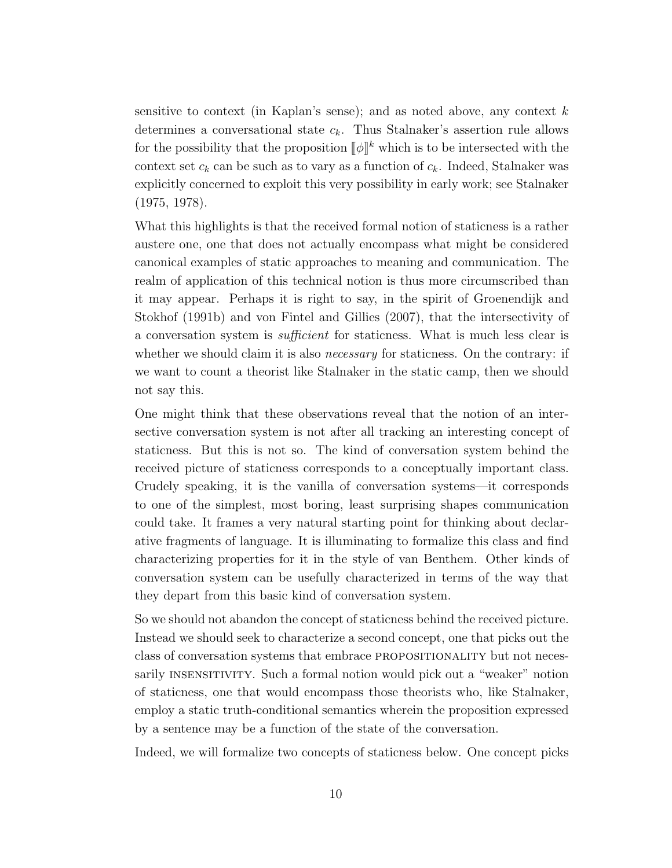sensitive to context (in Kaplan's sense); and as noted above, any context  $k$ determines a conversational state  $c_k$ . Thus Stalnaker's assertion rule allows for the possibility that the proposition  $[\![\phi]\!]^k$  which is to be intersected with the context set  $c_k$  can be such as to vary as a function of  $c_k$ . Indeed, Stalnaker was explicitly concerned to exploit this very possibility in early work; see Stalnaker (1975, 1978).

What this highlights is that the received formal notion of staticness is a rather austere one, one that does not actually encompass what might be considered canonical examples of static approaches to meaning and communication. The realm of application of this technical notion is thus more circumscribed than it may appear. Perhaps it is right to say, in the spirit of Groenendijk and Stokhof (1991b) and von Fintel and Gillies (2007), that the intersectivity of a conversation system is sufficient for staticness. What is much less clear is whether we should claim it is also *necessary* for staticness. On the contrary: if we want to count a theorist like Stalnaker in the static camp, then we should not say this.

One might think that these observations reveal that the notion of an intersective conversation system is not after all tracking an interesting concept of staticness. But this is not so. The kind of conversation system behind the received picture of staticness corresponds to a conceptually important class. Crudely speaking, it is the vanilla of conversation systems—it corresponds to one of the simplest, most boring, least surprising shapes communication could take. It frames a very natural starting point for thinking about declarative fragments of language. It is illuminating to formalize this class and find characterizing properties for it in the style of van Benthem. Other kinds of conversation system can be usefully characterized in terms of the way that they depart from this basic kind of conversation system.

So we should not abandon the concept of staticness behind the received picture. Instead we should seek to characterize a second concept, one that picks out the class of conversation systems that embrace propositionality but not necessarily insensitivity. Such a formal notion would pick out a "weaker" notion of staticness, one that would encompass those theorists who, like Stalnaker, employ a static truth-conditional semantics wherein the proposition expressed by a sentence may be a function of the state of the conversation.

Indeed, we will formalize two concepts of staticness below. One concept picks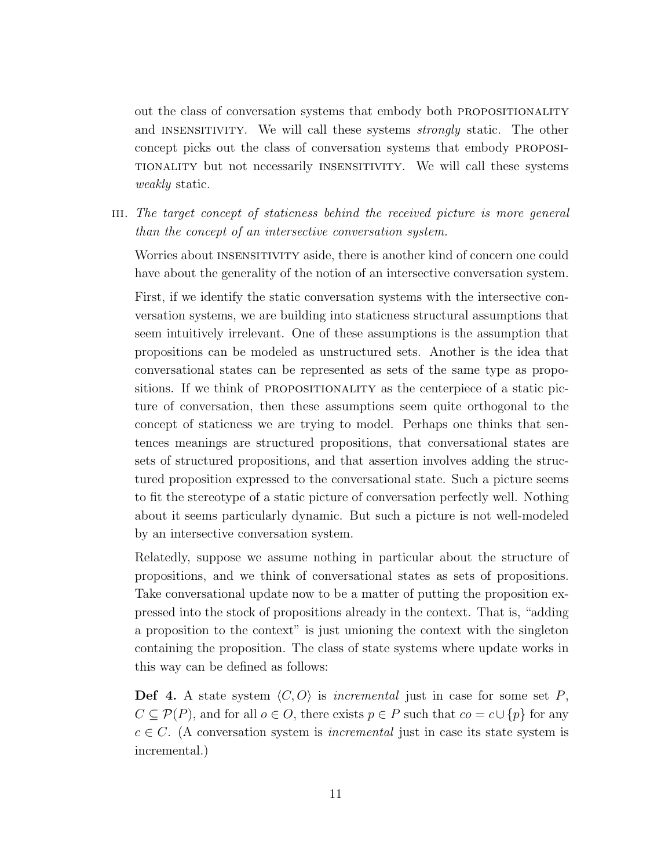out the class of conversation systems that embody both propositionality and INSENSITIVITY. We will call these systems *strongly* static. The other concept picks out the class of conversation systems that embody propositionality but not necessarily insensitivity. We will call these systems weakly static.

III. The target concept of staticness behind the received picture is more general than the concept of an intersective conversation system.

Worries about insensitivity aside, there is another kind of concern one could have about the generality of the notion of an intersective conversation system.

First, if we identify the static conversation systems with the intersective conversation systems, we are building into staticness structural assumptions that seem intuitively irrelevant. One of these assumptions is the assumption that propositions can be modeled as unstructured sets. Another is the idea that conversational states can be represented as sets of the same type as propositions. If we think of propositionality as the centerpiece of a static picture of conversation, then these assumptions seem quite orthogonal to the concept of staticness we are trying to model. Perhaps one thinks that sentences meanings are structured propositions, that conversational states are sets of structured propositions, and that assertion involves adding the structured proposition expressed to the conversational state. Such a picture seems to fit the stereotype of a static picture of conversation perfectly well. Nothing about it seems particularly dynamic. But such a picture is not well-modeled by an intersective conversation system.

Relatedly, suppose we assume nothing in particular about the structure of propositions, and we think of conversational states as sets of propositions. Take conversational update now to be a matter of putting the proposition expressed into the stock of propositions already in the context. That is, "adding a proposition to the context" is just unioning the context with the singleton containing the proposition. The class of state systems where update works in this way can be defined as follows:

**Def 4.** A state system  $\langle C, O \rangle$  is incremental just in case for some set P,  $C \subseteq \mathcal{P}(P)$ , and for all  $o \in O$ , there exists  $p \in P$  such that  $co = c \cup \{p\}$  for any  $c \in C$ . (A conversation system is *incremental* just in case its state system is incremental.)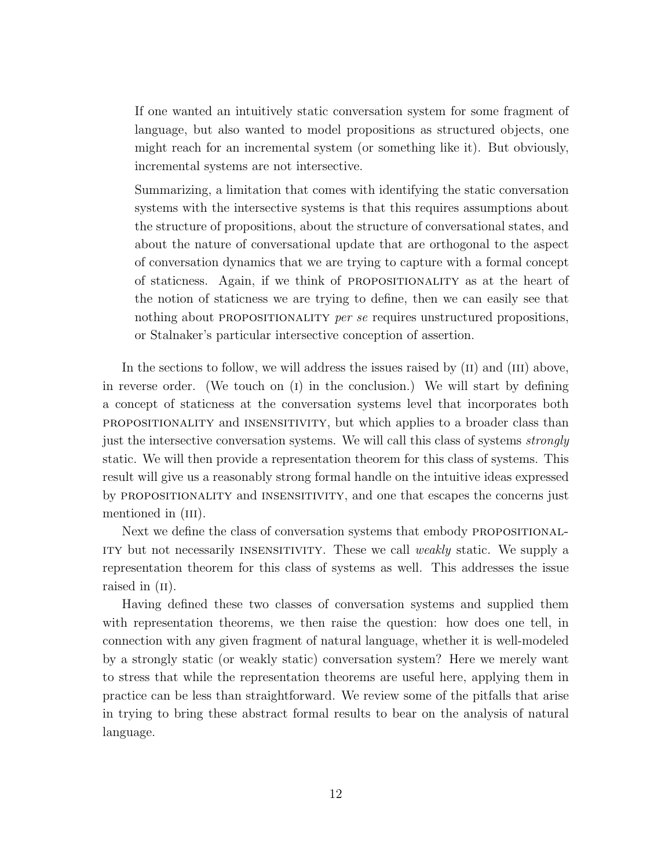If one wanted an intuitively static conversation system for some fragment of language, but also wanted to model propositions as structured objects, one might reach for an incremental system (or something like it). But obviously, incremental systems are not intersective.

Summarizing, a limitation that comes with identifying the static conversation systems with the intersective systems is that this requires assumptions about the structure of propositions, about the structure of conversational states, and about the nature of conversational update that are orthogonal to the aspect of conversation dynamics that we are trying to capture with a formal concept of staticness. Again, if we think of propositionality as at the heart of the notion of staticness we are trying to define, then we can easily see that nothing about PROPOSITIONALITY *per se* requires unstructured propositions, or Stalnaker's particular intersective conception of assertion.

In the sections to follow, we will address the issues raised by (II) and (III) above, in reverse order. (We touch on  $(I)$  in the conclusion.) We will start by defining a concept of staticness at the conversation systems level that incorporates both propositionality and insensitivity, but which applies to a broader class than just the intersective conversation systems. We will call this class of systems *strongly* static. We will then provide a representation theorem for this class of systems. This result will give us a reasonably strong formal handle on the intuitive ideas expressed by propositionality and insensitivity, and one that escapes the concerns just mentioned in (III).

Next we define the class of conversation systems that embody propositional-ITY but not necessarily INSENSITIVITY. These we call *weakly* static. We supply a representation theorem for this class of systems as well. This addresses the issue raised in (II).

Having defined these two classes of conversation systems and supplied them with representation theorems, we then raise the question: how does one tell, in connection with any given fragment of natural language, whether it is well-modeled by a strongly static (or weakly static) conversation system? Here we merely want to stress that while the representation theorems are useful here, applying them in practice can be less than straightforward. We review some of the pitfalls that arise in trying to bring these abstract formal results to bear on the analysis of natural language.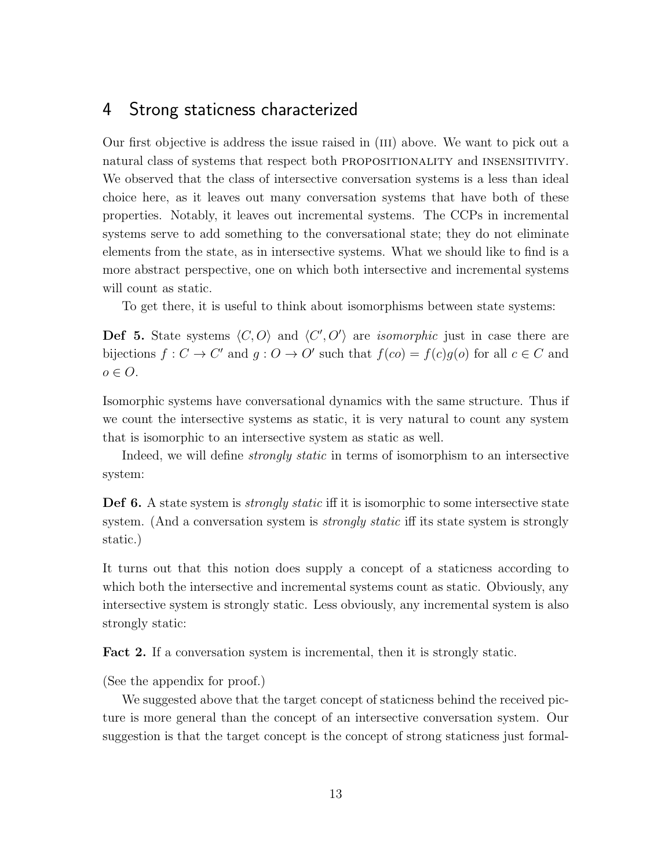#### 4 Strong staticness characterized

Our first objective is address the issue raised in (iii) above. We want to pick out a natural class of systems that respect both propositionality and insensitivity. We observed that the class of intersective conversation systems is a less than ideal choice here, as it leaves out many conversation systems that have both of these properties. Notably, it leaves out incremental systems. The CCPs in incremental systems serve to add something to the conversational state; they do not eliminate elements from the state, as in intersective systems. What we should like to find is a more abstract perspective, one on which both intersective and incremental systems will count as static.

To get there, it is useful to think about isomorphisms between state systems:

**Def 5.** State systems  $\langle C, O \rangle$  and  $\langle C', O' \rangle$  are *isomorphic* just in case there are bijections  $f: C \to C'$  and  $g: O \to O'$  such that  $f(co) = f(c)g(o)$  for all  $c \in C$  and  $o \in O$ .

Isomorphic systems have conversational dynamics with the same structure. Thus if we count the intersective systems as static, it is very natural to count any system that is isomorphic to an intersective system as static as well.

Indeed, we will define *strongly static* in terms of isomorphism to an intersective system:

**Def 6.** A state system is *strongly static* iff it is isomorphic to some intersective state system. (And a conversation system is *strongly static* iff its state system is strongly static.)

It turns out that this notion does supply a concept of a staticness according to which both the intersective and incremental systems count as static. Obviously, any intersective system is strongly static. Less obviously, any incremental system is also strongly static:

Fact 2. If a conversation system is incremental, then it is strongly static.

(See the appendix for proof.)

We suggested above that the target concept of staticness behind the received picture is more general than the concept of an intersective conversation system. Our suggestion is that the target concept is the concept of strong staticness just formal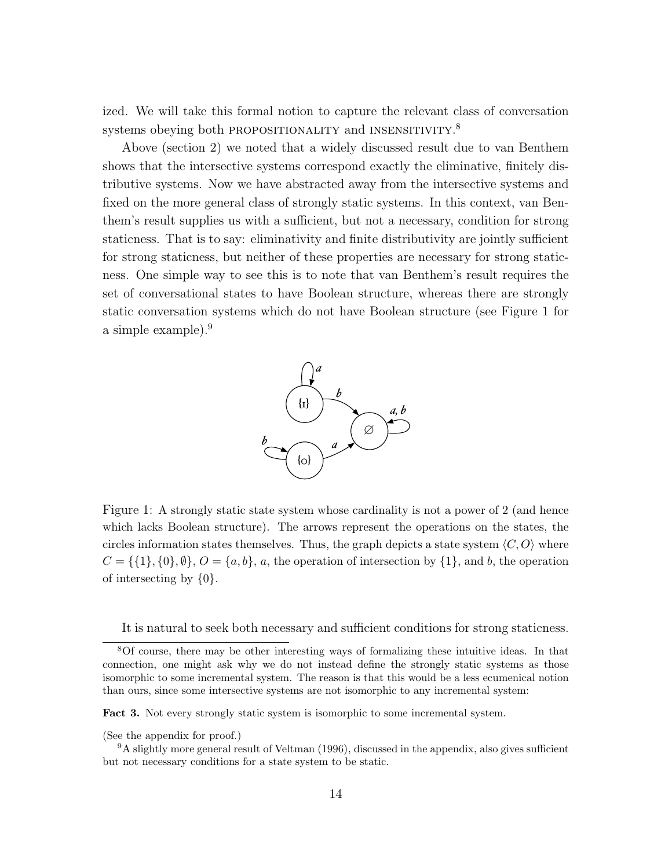ized. We will take this formal notion to capture the relevant class of conversation systems obeying both PROPOSITIONALITY and INSENSITIVITY.<sup>8</sup>

Above (section 2) we noted that a widely discussed result due to van Benthem shows that the intersective systems correspond exactly the eliminative, finitely distributive systems. Now we have abstracted away from the intersective systems and fixed on the more general class of strongly static systems. In this context, van Benthem's result supplies us with a sufficient, but not a necessary, condition for strong staticness. That is to say: eliminativity and finite distributivity are jointly sufficient for strong staticness, but neither of these properties are necessary for strong staticness. One simple way to see this is to note that van Benthem's result requires the set of conversational states to have Boolean structure, whereas there are strongly static conversation systems which do not have Boolean structure (see Figure 1 for a simple example).<sup>9</sup>



Figure 1: A strongly static state system whose cardinality is not a power of 2 (and hence which lacks Boolean structure). The arrows represent the operations on the states, the circles information states themselves. Thus, the graph depicts a state system  $\langle C, O \rangle$  where  $C = \{\{1\}, \{0\}, \emptyset\}, O = \{a, b\}, a$ , the operation of intersection by  $\{1\}$ , and b, the operation of intersecting by {0}.

It is natural to seek both necessary and sufficient conditions for strong staticness.

Fact 3. Not every strongly static system is isomorphic to some incremental system.

(See the appendix for proof.)

<sup>8</sup>Of course, there may be other interesting ways of formalizing these intuitive ideas. In that connection, one might ask why we do not instead define the strongly static systems as those isomorphic to some incremental system. The reason is that this would be a less ecumenical notion than ours, since some intersective systems are not isomorphic to any incremental system:

<sup>&</sup>lt;sup>9</sup>A slightly more general result of Veltman (1996), discussed in the appendix, also gives sufficient but not necessary conditions for a state system to be static.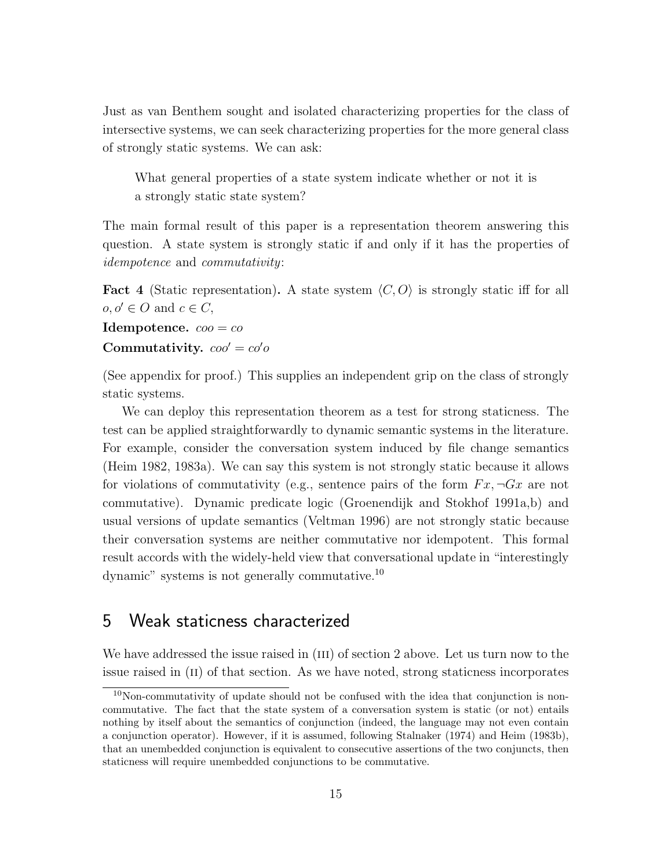Just as van Benthem sought and isolated characterizing properties for the class of intersective systems, we can seek characterizing properties for the more general class of strongly static systems. We can ask:

What general properties of a state system indicate whether or not it is a strongly static state system?

The main formal result of this paper is a representation theorem answering this question. A state system is strongly static if and only if it has the properties of idempotence and commutativity:

**Fact 4** (Static representation). A state system  $\langle C, O \rangle$  is strongly static iff for all  $o, o' \in O$  and  $c \in C$ ,

Idempotence.  $\cos = \cos$ 

#### Commutativity.  $\cos' = \cos' \theta$

(See appendix for proof.) This supplies an independent grip on the class of strongly static systems.

We can deploy this representation theorem as a test for strong staticness. The test can be applied straightforwardly to dynamic semantic systems in the literature. For example, consider the conversation system induced by file change semantics (Heim 1982, 1983a). We can say this system is not strongly static because it allows for violations of commutativity (e.g., sentence pairs of the form  $Fx, \neg Gx$  are not commutative). Dynamic predicate logic (Groenendijk and Stokhof 1991a,b) and usual versions of update semantics (Veltman 1996) are not strongly static because their conversation systems are neither commutative nor idempotent. This formal result accords with the widely-held view that conversational update in "interestingly dynamic" systems is not generally commutative.<sup>10</sup>

#### 5 Weak staticness characterized

We have addressed the issue raised in (III) of section 2 above. Let us turn now to the issue raised in (ii) of that section. As we have noted, strong staticness incorporates

 $10$ Non-commutativity of update should not be confused with the idea that conjunction is noncommutative. The fact that the state system of a conversation system is static (or not) entails nothing by itself about the semantics of conjunction (indeed, the language may not even contain a conjunction operator). However, if it is assumed, following Stalnaker (1974) and Heim (1983b), that an unembedded conjunction is equivalent to consecutive assertions of the two conjuncts, then staticness will require unembedded conjunctions to be commutative.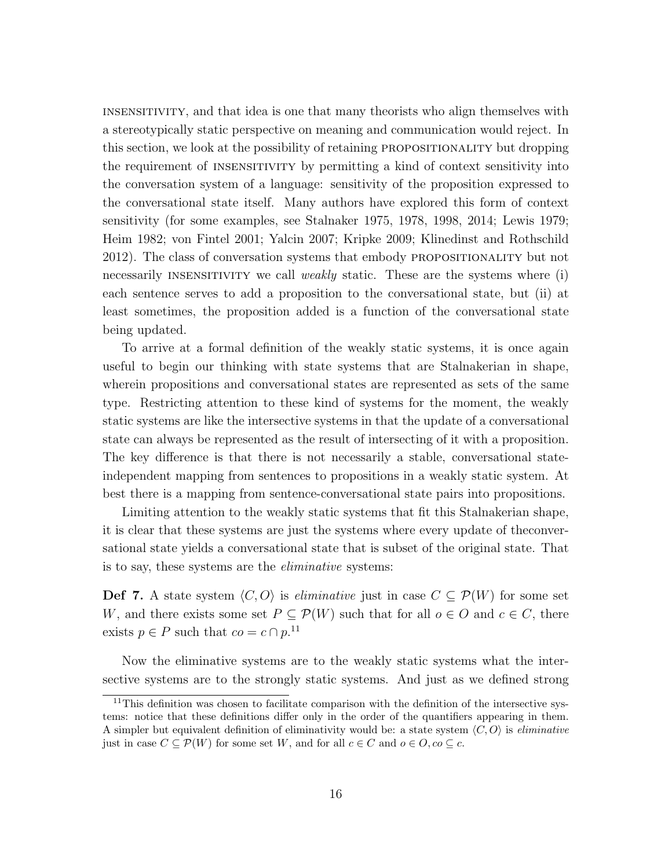insensitivity, and that idea is one that many theorists who align themselves with a stereotypically static perspective on meaning and communication would reject. In this section, we look at the possibility of retaining propositionality but dropping the requirement of insensitivity by permitting a kind of context sensitivity into the conversation system of a language: sensitivity of the proposition expressed to the conversational state itself. Many authors have explored this form of context sensitivity (for some examples, see Stalnaker 1975, 1978, 1998, 2014; Lewis 1979; Heim 1982; von Fintel 2001; Yalcin 2007; Kripke 2009; Klinedinst and Rothschild 2012). The class of conversation systems that embody propositionality but not necessarily INSENSITIVITY we call *weakly* static. These are the systems where (i) each sentence serves to add a proposition to the conversational state, but (ii) at least sometimes, the proposition added is a function of the conversational state being updated.

To arrive at a formal definition of the weakly static systems, it is once again useful to begin our thinking with state systems that are Stalnakerian in shape, wherein propositions and conversational states are represented as sets of the same type. Restricting attention to these kind of systems for the moment, the weakly static systems are like the intersective systems in that the update of a conversational state can always be represented as the result of intersecting of it with a proposition. The key difference is that there is not necessarily a stable, conversational stateindependent mapping from sentences to propositions in a weakly static system. At best there is a mapping from sentence-conversational state pairs into propositions.

Limiting attention to the weakly static systems that fit this Stalnakerian shape, it is clear that these systems are just the systems where every update of theconversational state yields a conversational state that is subset of the original state. That is to say, these systems are the eliminative systems:

**Def 7.** A state system  $\langle C, O \rangle$  is *eliminative* just in case  $C \subseteq \mathcal{P}(W)$  for some set W, and there exists some set  $P \subseteq \mathcal{P}(W)$  such that for all  $o \in O$  and  $c \in C$ , there exists  $p \in P$  such that  $co = c \cap p$ .<sup>11</sup>

Now the eliminative systems are to the weakly static systems what the intersective systems are to the strongly static systems. And just as we defined strong

<sup>&</sup>lt;sup>11</sup>This definition was chosen to facilitate comparison with the definition of the intersective systems: notice that these definitions differ only in the order of the quantifiers appearing in them. A simpler but equivalent definition of eliminativity would be: a state system  $\langle C, O \rangle$  is *eliminative* just in case  $C \subseteq \mathcal{P}(W)$  for some set W, and for all  $c \in C$  and  $o \in O$ ,  $co \subseteq c$ .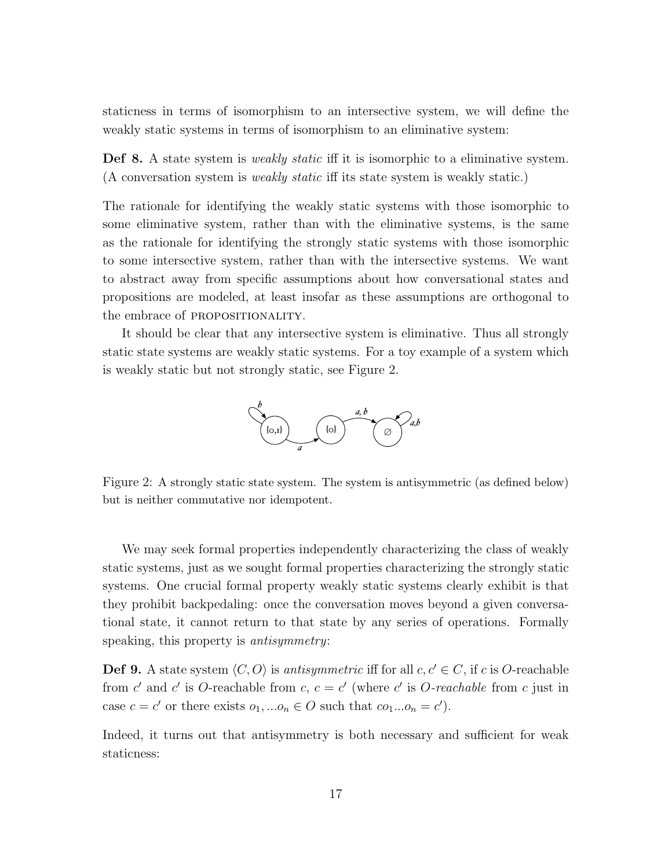staticness in terms of isomorphism to an intersective system, we will define the weakly static systems in terms of isomorphism to an eliminative system:

**Def 8.** A state system is *weakly static* iff it is isomorphic to a eliminative system. (A conversation system is weakly static iff its state system is weakly static.)

The rationale for identifying the weakly static systems with those isomorphic to some eliminative system, rather than with the eliminative systems, is the same as the rationale for identifying the strongly static systems with those isomorphic to some intersective system, rather than with the intersective systems. We want to abstract away from specific assumptions about how conversational states and propositions are modeled, at least insofar as these assumptions are orthogonal to the embrace of PROPOSITIONALITY.

It should be clear that any intersective system is eliminative. Thus all strongly static state systems are weakly static systems. For a toy example of a system which is weakly static but not strongly static, see Figure 2.



Figure 2: A strongly static state system. The system is antisymmetric (as defined below) but is neither commutative nor idempotent.

We may seek formal properties independently characterizing the class of weakly static systems, just as we sought formal properties characterizing the strongly static systems. One crucial formal property weakly static systems clearly exhibit is that they prohibit backpedaling: once the conversation moves beyond a given conversational state, it cannot return to that state by any series of operations. Formally speaking, this property is *antisymmetry*:

**Def 9.** A state system  $\langle C, O \rangle$  is antisymmetric iff for all  $c, c' \in C$ , if c is O-reachable from c' and c' is O-reachable from c,  $c = c'$  (where c' is O-reachable from c just in case  $c = c'$  or there exists  $o_1, \ldots, o_n \in O$  such that  $co_1 \ldots o_n = c'$ .

Indeed, it turns out that antisymmetry is both necessary and sufficient for weak staticness: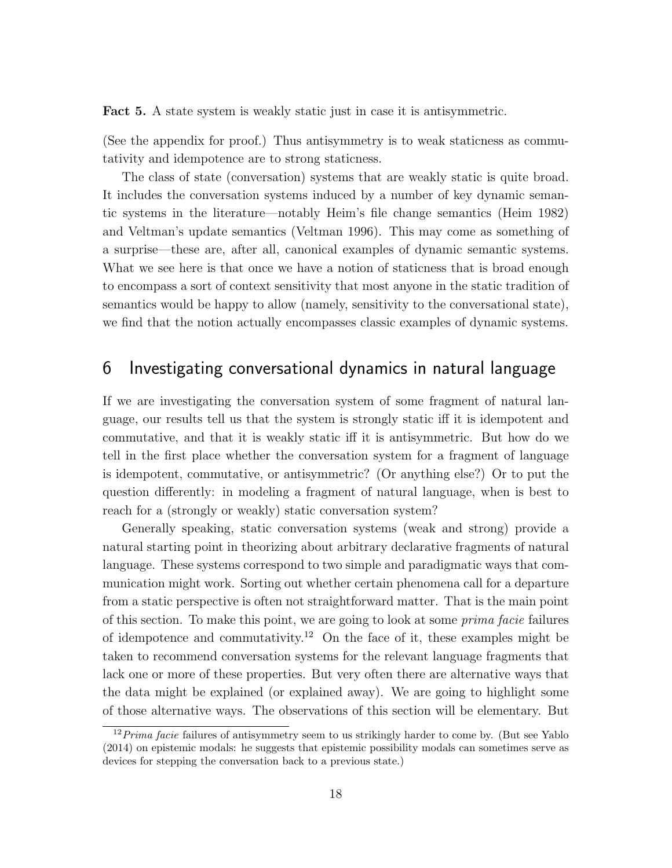Fact 5. A state system is weakly static just in case it is antisymmetric.

(See the appendix for proof.) Thus antisymmetry is to weak staticness as commutativity and idempotence are to strong staticness.

The class of state (conversation) systems that are weakly static is quite broad. It includes the conversation systems induced by a number of key dynamic semantic systems in the literature—notably Heim's file change semantics (Heim 1982) and Veltman's update semantics (Veltman 1996). This may come as something of a surprise—these are, after all, canonical examples of dynamic semantic systems. What we see here is that once we have a notion of staticness that is broad enough to encompass a sort of context sensitivity that most anyone in the static tradition of semantics would be happy to allow (namely, sensitivity to the conversational state), we find that the notion actually encompasses classic examples of dynamic systems.

#### 6 Investigating conversational dynamics in natural language

If we are investigating the conversation system of some fragment of natural language, our results tell us that the system is strongly static iff it is idempotent and commutative, and that it is weakly static iff it is antisymmetric. But how do we tell in the first place whether the conversation system for a fragment of language is idempotent, commutative, or antisymmetric? (Or anything else?) Or to put the question differently: in modeling a fragment of natural language, when is best to reach for a (strongly or weakly) static conversation system?

Generally speaking, static conversation systems (weak and strong) provide a natural starting point in theorizing about arbitrary declarative fragments of natural language. These systems correspond to two simple and paradigmatic ways that communication might work. Sorting out whether certain phenomena call for a departure from a static perspective is often not straightforward matter. That is the main point of this section. To make this point, we are going to look at some *prima facie* failures of idempotence and commutativity.<sup>12</sup> On the face of it, these examples might be taken to recommend conversation systems for the relevant language fragments that lack one or more of these properties. But very often there are alternative ways that the data might be explained (or explained away). We are going to highlight some of those alternative ways. The observations of this section will be elementary. But

 $12$ Prima facie failures of antisymmetry seem to us strikingly harder to come by. (But see Yablo (2014) on epistemic modals: he suggests that epistemic possibility modals can sometimes serve as devices for stepping the conversation back to a previous state.)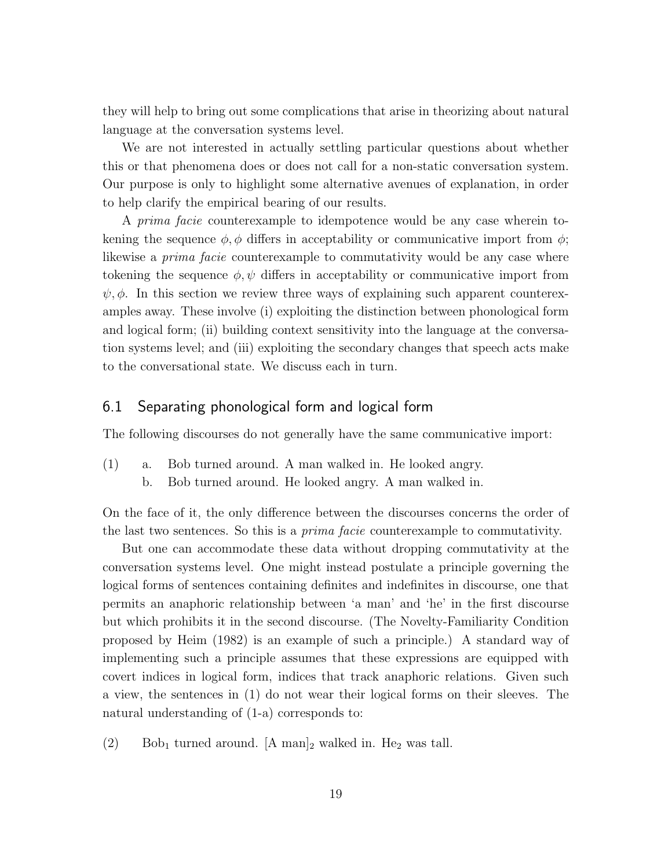they will help to bring out some complications that arise in theorizing about natural language at the conversation systems level.

We are not interested in actually settling particular questions about whether this or that phenomena does or does not call for a non-static conversation system. Our purpose is only to highlight some alternative avenues of explanation, in order to help clarify the empirical bearing of our results.

A prima facie counterexample to idempotence would be any case wherein tokening the sequence  $\phi$ ,  $\phi$  differs in acceptability or communicative import from  $\phi$ ; likewise a *prima facie* counterexample to commutativity would be any case where tokening the sequence  $\phi, \psi$  differs in acceptability or communicative import from  $\psi$ ,  $\phi$ . In this section we review three ways of explaining such apparent counterexamples away. These involve (i) exploiting the distinction between phonological form and logical form; (ii) building context sensitivity into the language at the conversation systems level; and (iii) exploiting the secondary changes that speech acts make to the conversational state. We discuss each in turn.

#### 6.1 Separating phonological form and logical form

The following discourses do not generally have the same communicative import:

- (1) a. Bob turned around. A man walked in. He looked angry.
	- b. Bob turned around. He looked angry. A man walked in.

On the face of it, the only difference between the discourses concerns the order of the last two sentences. So this is a *prima facie* counterexample to commutativity.

But one can accommodate these data without dropping commutativity at the conversation systems level. One might instead postulate a principle governing the logical forms of sentences containing definites and indefinites in discourse, one that permits an anaphoric relationship between 'a man' and 'he' in the first discourse but which prohibits it in the second discourse. (The Novelty-Familiarity Condition proposed by Heim (1982) is an example of such a principle.) A standard way of implementing such a principle assumes that these expressions are equipped with covert indices in logical form, indices that track anaphoric relations. Given such a view, the sentences in (1) do not wear their logical forms on their sleeves. The natural understanding of (1-a) corresponds to:

(2) Bob<sub>1</sub> turned around. [A man]<sub>2</sub> walked in. He<sub>2</sub> was tall.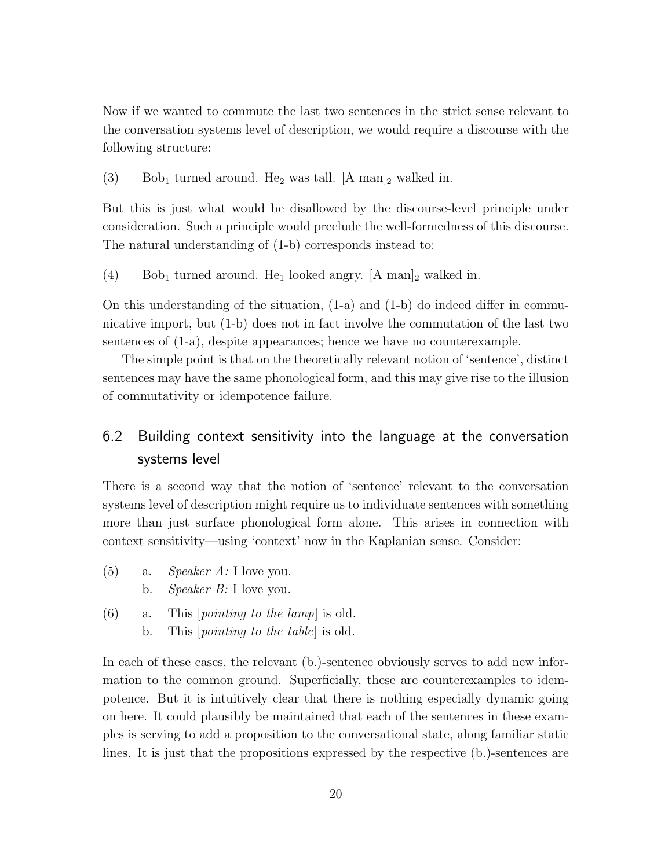Now if we wanted to commute the last two sentences in the strict sense relevant to the conversation systems level of description, we would require a discourse with the following structure:

(3) Bob<sub>1</sub> turned around. He<sub>2</sub> was tall. [A man]<sub>2</sub> walked in.

But this is just what would be disallowed by the discourse-level principle under consideration. Such a principle would preclude the well-formedness of this discourse. The natural understanding of (1-b) corresponds instead to:

(4) Bob<sub>1</sub> turned around. He<sub>1</sub> looked angry. [A man]<sub>2</sub> walked in.

On this understanding of the situation, (1-a) and (1-b) do indeed differ in communicative import, but (1-b) does not in fact involve the commutation of the last two sentences of (1-a), despite appearances; hence we have no counterexample.

The simple point is that on the theoretically relevant notion of 'sentence', distinct sentences may have the same phonological form, and this may give rise to the illusion of commutativity or idempotence failure.

## 6.2 Building context sensitivity into the language at the conversation systems level

There is a second way that the notion of 'sentence' relevant to the conversation systems level of description might require us to individuate sentences with something more than just surface phonological form alone. This arises in connection with context sensitivity—using 'context' now in the Kaplanian sense. Consider:

- (5) a. *Speaker A:* I love you.
	- b. *Speaker B:* I love you.
- $(6)$  a. This *[pointing to the lamp]* is old. b. This [pointing to the table] is old.

In each of these cases, the relevant (b.)-sentence obviously serves to add new information to the common ground. Superficially, these are counterexamples to idempotence. But it is intuitively clear that there is nothing especially dynamic going on here. It could plausibly be maintained that each of the sentences in these examples is serving to add a proposition to the conversational state, along familiar static lines. It is just that the propositions expressed by the respective (b.)-sentences are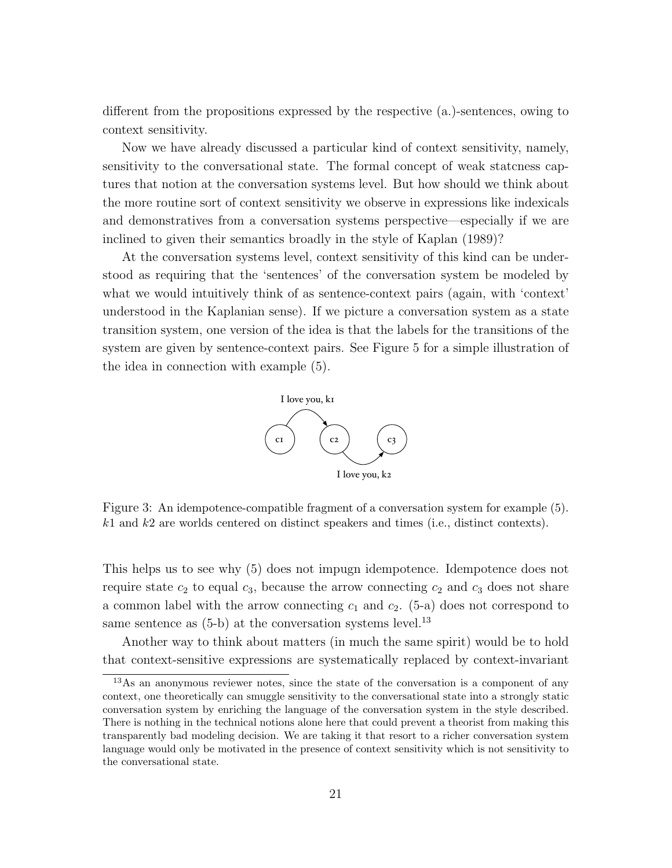different from the propositions expressed by the respective (a.)-sentences, owing to context sensitivity.

Now we have already discussed a particular kind of context sensitivity, namely, sensitivity to the conversational state. The formal concept of weak statcness captures that notion at the conversation systems level. But how should we think about the more routine sort of context sensitivity we observe in expressions like indexicals and demonstratives from a conversation systems perspective—especially if we are inclined to given their semantics broadly in the style of Kaplan (1989)?

At the conversation systems level, context sensitivity of this kind can be understood as requiring that the 'sentences' of the conversation system be modeled by what we would intuitively think of as sentence-context pairs (again, with 'context' understood in the Kaplanian sense). If we picture a conversation system as a state transition system, one version of the idea is that the labels for the transitions of the system are given by sentence-context pairs. See Figure 5 for a simple illustration of the idea in connection with example (5).



Figure 3: An idempotence-compatible fragment of a conversation system for example (5). k1 and k2 are worlds centered on distinct speakers and times (i.e., distinct contexts).

This helps us to see why (5) does not impugn idempotence. Idempotence does not require state  $c_2$  to equal  $c_3$ , because the arrow connecting  $c_2$  and  $c_3$  does not share a common label with the arrow connecting  $c_1$  and  $c_2$ . (5-a) does not correspond to same sentence as  $(5-b)$  at the conversation systems level.<sup>13</sup>

Another way to think about matters (in much the same spirit) would be to hold that context-sensitive expressions are systematically replaced by context-invariant

<sup>13</sup>As an anonymous reviewer notes, since the state of the conversation is a component of any context, one theoretically can smuggle sensitivity to the conversational state into a strongly static conversation system by enriching the language of the conversation system in the style described. There is nothing in the technical notions alone here that could prevent a theorist from making this transparently bad modeling decision. We are taking it that resort to a richer conversation system language would only be motivated in the presence of context sensitivity which is not sensitivity to the conversational state.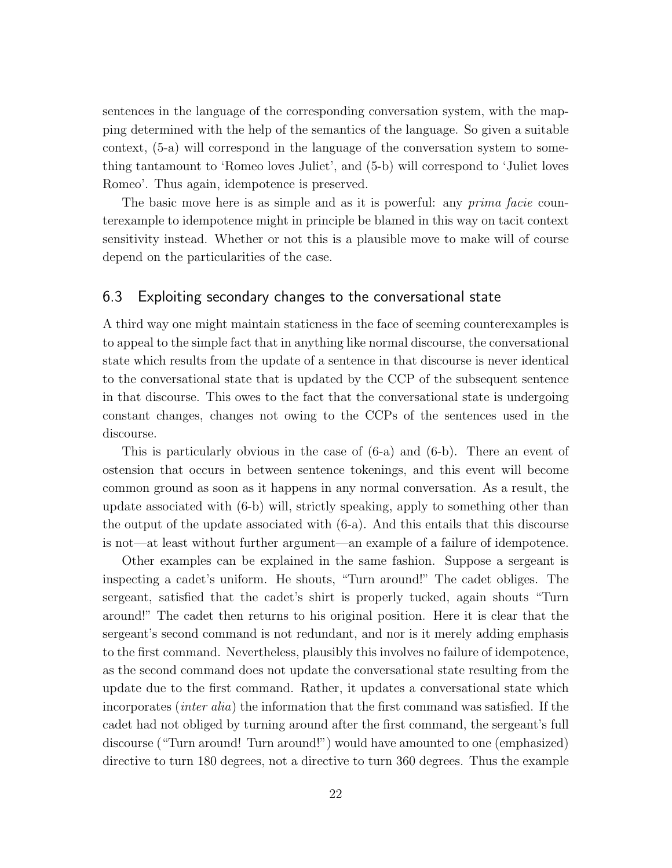sentences in the language of the corresponding conversation system, with the mapping determined with the help of the semantics of the language. So given a suitable context, (5-a) will correspond in the language of the conversation system to something tantamount to 'Romeo loves Juliet', and (5-b) will correspond to 'Juliet loves Romeo'. Thus again, idempotence is preserved.

The basic move here is as simple and as it is powerful: any *prima facie* counterexample to idempotence might in principle be blamed in this way on tacit context sensitivity instead. Whether or not this is a plausible move to make will of course depend on the particularities of the case.

#### 6.3 Exploiting secondary changes to the conversational state

A third way one might maintain staticness in the face of seeming counterexamples is to appeal to the simple fact that in anything like normal discourse, the conversational state which results from the update of a sentence in that discourse is never identical to the conversational state that is updated by the CCP of the subsequent sentence in that discourse. This owes to the fact that the conversational state is undergoing constant changes, changes not owing to the CCPs of the sentences used in the discourse.

This is particularly obvious in the case of (6-a) and (6-b). There an event of ostension that occurs in between sentence tokenings, and this event will become common ground as soon as it happens in any normal conversation. As a result, the update associated with (6-b) will, strictly speaking, apply to something other than the output of the update associated with (6-a). And this entails that this discourse is not—at least without further argument—an example of a failure of idempotence.

Other examples can be explained in the same fashion. Suppose a sergeant is inspecting a cadet's uniform. He shouts, "Turn around!" The cadet obliges. The sergeant, satisfied that the cadet's shirt is properly tucked, again shouts "Turn around!" The cadet then returns to his original position. Here it is clear that the sergeant's second command is not redundant, and nor is it merely adding emphasis to the first command. Nevertheless, plausibly this involves no failure of idempotence, as the second command does not update the conversational state resulting from the update due to the first command. Rather, it updates a conversational state which incorporates (inter alia) the information that the first command was satisfied. If the cadet had not obliged by turning around after the first command, the sergeant's full discourse ("Turn around! Turn around!") would have amounted to one (emphasized) directive to turn 180 degrees, not a directive to turn 360 degrees. Thus the example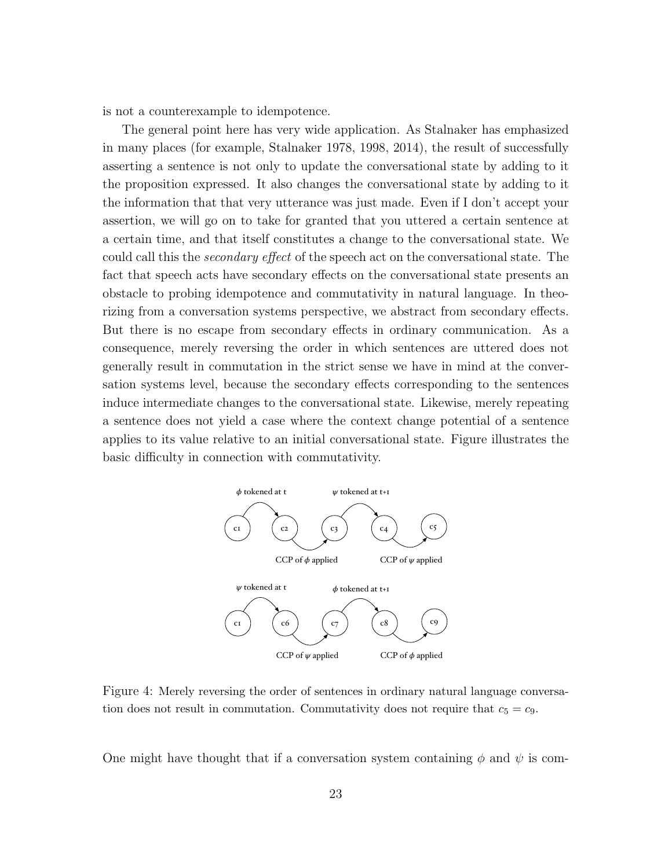is not a counterexample to idempotence.

The general point here has very wide application. As Stalnaker has emphasized in many places (for example, Stalnaker 1978, 1998, 2014), the result of successfully asserting a sentence is not only to update the conversational state by adding to it the proposition expressed. It also changes the conversational state by adding to it the information that that very utterance was just made. Even if I don't accept your assertion, we will go on to take for granted that you uttered a certain sentence at a certain time, and that itself constitutes a change to the conversational state. We could call this the *secondary effect* of the speech act on the conversational state. The fact that speech acts have secondary effects on the conversational state presents an obstacle to probing idempotence and commutativity in natural language. In theorizing from a conversation systems perspective, we abstract from secondary effects. But there is no escape from secondary effects in ordinary communication. As a consequence, merely reversing the order in which sentences are uttered does not generally result in commutation in the strict sense we have in mind at the conversation systems level, because the secondary effects corresponding to the sentences induce intermediate changes to the conversational state. Likewise, merely repeating a sentence does not yield a case where the context change potential of a sentence applies to its value relative to an initial conversational state. Figure illustrates the basic difficulty in connection with commutativity.



Figure 4: Merely reversing the order of sentences in ordinary natural language conversation does not result in commutation. Commutativity does not require that  $c_5 = c_9$ .

One might have thought that if a conversation system containing  $\phi$  and  $\psi$  is com-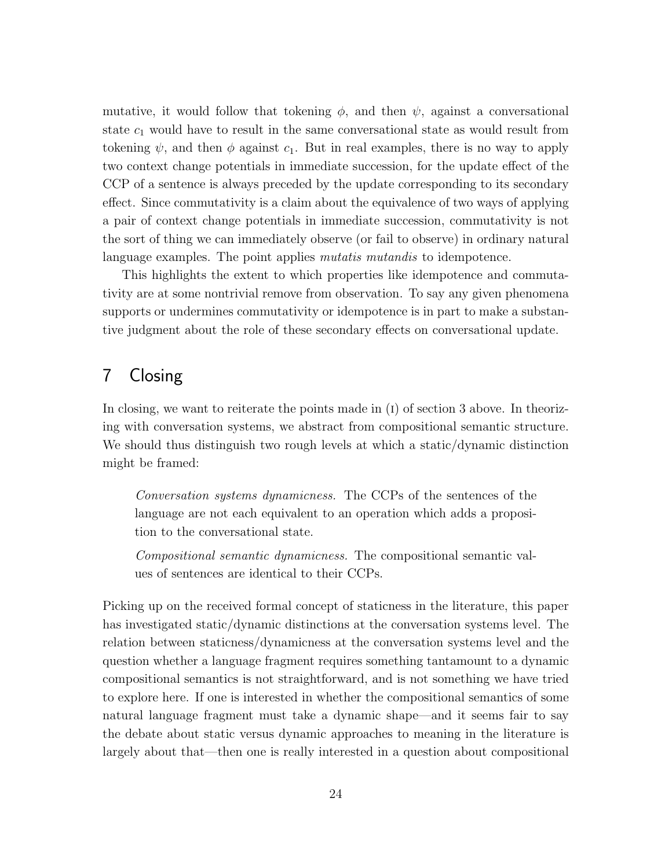mutative, it would follow that tokening  $\phi$ , and then  $\psi$ , against a conversational state  $c_1$  would have to result in the same conversational state as would result from tokening  $\psi$ , and then  $\phi$  against  $c_1$ . But in real examples, there is no way to apply two context change potentials in immediate succession, for the update effect of the CCP of a sentence is always preceded by the update corresponding to its secondary effect. Since commutativity is a claim about the equivalence of two ways of applying a pair of context change potentials in immediate succession, commutativity is not the sort of thing we can immediately observe (or fail to observe) in ordinary natural language examples. The point applies *mutatis mutandis* to idempotence.

This highlights the extent to which properties like idempotence and commutativity are at some nontrivial remove from observation. To say any given phenomena supports or undermines commutativity or idempotence is in part to make a substantive judgment about the role of these secondary effects on conversational update.

## 7 Closing

In closing, we want to reiterate the points made in  $(I)$  of section 3 above. In theorizing with conversation systems, we abstract from compositional semantic structure. We should thus distinguish two rough levels at which a static/dynamic distinction might be framed:

Conversation systems dynamicness. The CCPs of the sentences of the language are not each equivalent to an operation which adds a proposition to the conversational state.

Compositional semantic dynamicness. The compositional semantic values of sentences are identical to their CCPs.

Picking up on the received formal concept of staticness in the literature, this paper has investigated static/dynamic distinctions at the conversation systems level. The relation between staticness/dynamicness at the conversation systems level and the question whether a language fragment requires something tantamount to a dynamic compositional semantics is not straightforward, and is not something we have tried to explore here. If one is interested in whether the compositional semantics of some natural language fragment must take a dynamic shape—and it seems fair to say the debate about static versus dynamic approaches to meaning in the literature is largely about that—then one is really interested in a question about compositional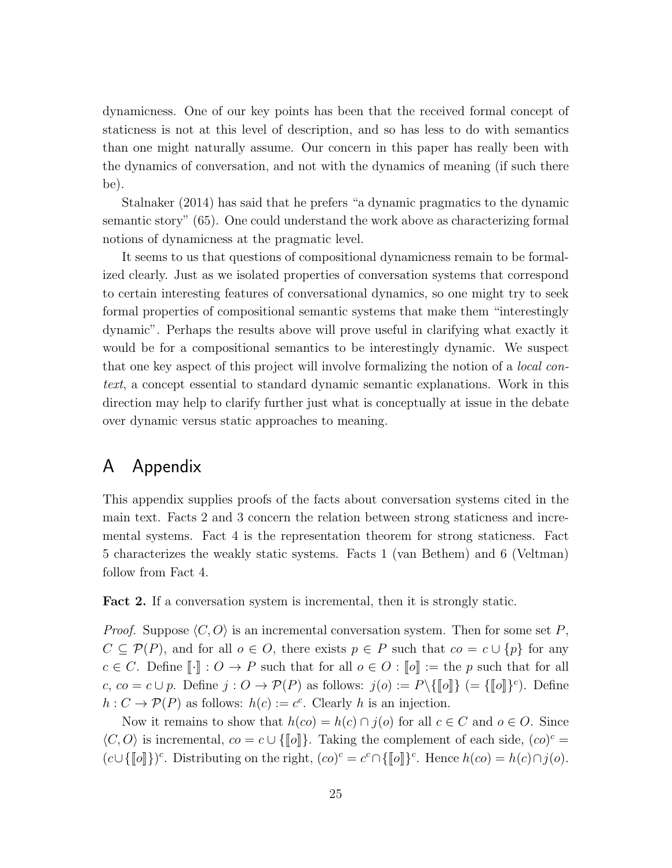dynamicness. One of our key points has been that the received formal concept of staticness is not at this level of description, and so has less to do with semantics than one might naturally assume. Our concern in this paper has really been with the dynamics of conversation, and not with the dynamics of meaning (if such there be).

Stalnaker (2014) has said that he prefers "a dynamic pragmatics to the dynamic semantic story" (65). One could understand the work above as characterizing formal notions of dynamicness at the pragmatic level.

It seems to us that questions of compositional dynamicness remain to be formalized clearly. Just as we isolated properties of conversation systems that correspond to certain interesting features of conversational dynamics, so one might try to seek formal properties of compositional semantic systems that make them "interestingly dynamic". Perhaps the results above will prove useful in clarifying what exactly it would be for a compositional semantics to be interestingly dynamic. We suspect that one key aspect of this project will involve formalizing the notion of a *local con*text, a concept essential to standard dynamic semantic explanations. Work in this direction may help to clarify further just what is conceptually at issue in the debate over dynamic versus static approaches to meaning.

## A Appendix

This appendix supplies proofs of the facts about conversation systems cited in the main text. Facts 2 and 3 concern the relation between strong staticness and incremental systems. Fact 4 is the representation theorem for strong staticness. Fact 5 characterizes the weakly static systems. Facts 1 (van Bethem) and 6 (Veltman) follow from Fact 4.

Fact 2. If a conversation system is incremental, then it is strongly static.

*Proof.* Suppose  $\langle C, O \rangle$  is an incremental conversation system. Then for some set P,  $C \subseteq \mathcal{P}(P)$ , and for all  $o \in O$ , there exists  $p \in P$  such that  $co = c \cup \{p\}$  for any  $c \in C$ . Define  $\llbracket \cdot \rrbracket : O \to P$  such that for all  $o \in O : \llbracket o \rrbracket :=$  the p such that for all c,  $co = c \cup p$ . Define  $j : O \to \mathcal{P}(P)$  as follows:  $j(o) := P \setminus \{[\![o]\!] \}$  (=  $\{[\![o]\!] \}^c$ ). Define  $h: C \to \mathcal{P}(P)$  as follows:  $h(c) := c^c$ . Clearly h is an injection.

Now it remains to show that  $h(co) = h(c) \cap j(o)$  for all  $c \in C$  and  $o \in O$ . Since  $\langle C, O \rangle$  is incremental,  $co = c \cup \{ \llbracket o \rrbracket \}$ . Taking the complement of each side,  $(co)^c =$  $(c \cup \{\llbracket o \rrbracket\})^c$ . Distributing on the right,  $(co)^c = c^c \cap \{\llbracket o \rrbracket\}^c$ . Hence  $h(co) = h(c) \cap j(o)$ .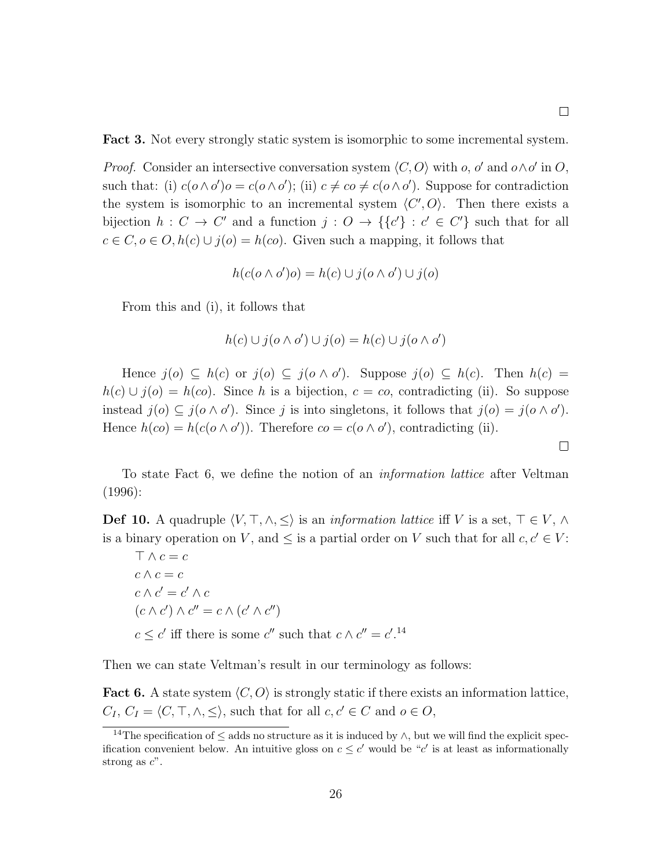Fact 3. Not every strongly static system is isomorphic to some incremental system.

*Proof.* Consider an intersective conversation system  $\langle C, O \rangle$  with o, o' and o∧o' in O, such that: (i)  $c(\rho \wedge \rho')\rho = c(\rho \wedge \rho')$ ; (ii)  $c \neq c\rho \neq c(\rho \wedge \rho')$ . Suppose for contradiction the system is isomorphic to an incremental system  $\langle C', O \rangle$ . Then there exists a bijection  $h: C \to C'$  and a function  $j: O \to \{\{c'\}: c' \in C'\}$  such that for all  $c \in C$ ,  $o \in O$ ,  $h(c) \cup j(o) = h(co)$ . Given such a mapping, it follows that

$$
h(c(o \land o')o) = h(c) \cup j(o \land o') \cup j(o)
$$

From this and (i), it follows that

$$
h(c) \cup j(o \wedge o') \cup j(o) = h(c) \cup j(o \wedge o')
$$

Hence  $j(o) \subseteq h(c)$  or  $j(o) \subseteq j(o \land o')$ . Suppose  $j(o) \subseteq h(c)$ . Then  $h(c) =$  $h(c) \cup j(o) = h(co)$ . Since h is a bijection,  $c = co$ , contradicting (ii). So suppose instead  $j(o) \subseteq j(o \land o')$ . Since j is into singletons, it follows that  $j(o) = j(o \land o')$ . Hence  $h(co) = h(c(o \wedge o'))$ . Therefore  $co = c(o \wedge o')$ , contradicting (ii).

To state Fact 6, we define the notion of an information lattice after Veltman (1996):

**Def 10.** A quadruple  $\langle V, \top, \wedge, \leq \rangle$  is an *information lattice* iff V is a set,  $\top \in V$ ,  $\wedge$ is a binary operation on V, and  $\leq$  is a partial order on V such that for all  $c, c' \in V$ :

$$
\top \wedge c = c
$$
  
\n
$$
c \wedge c = c
$$
  
\n
$$
c \wedge c' = c' \wedge c
$$
  
\n
$$
(c \wedge c') \wedge c'' = c \wedge (c' \wedge c'')
$$
  
\n
$$
c \le c' \text{ iff there is some } c'' \text{ such that } c \wedge c'' = c'.^{14}
$$

Then we can state Veltman's result in our terminology as follows:

**Fact 6.** A state system  $\langle C, O \rangle$  is strongly static if there exists an information lattice,  $C_I, C_I = \langle C, \top, \wedge, \leq \rangle$ , such that for all  $c, c' \in C$  and  $o \in O$ ,

 $\Box$ 

<sup>&</sup>lt;sup>14</sup>The specification of  $\leq$  adds no structure as it is induced by  $\land$ , but we will find the explicit specification convenient below. An intuitive gloss on  $c \leq c'$  would be "c' is at least as informationally strong as  $c$ ".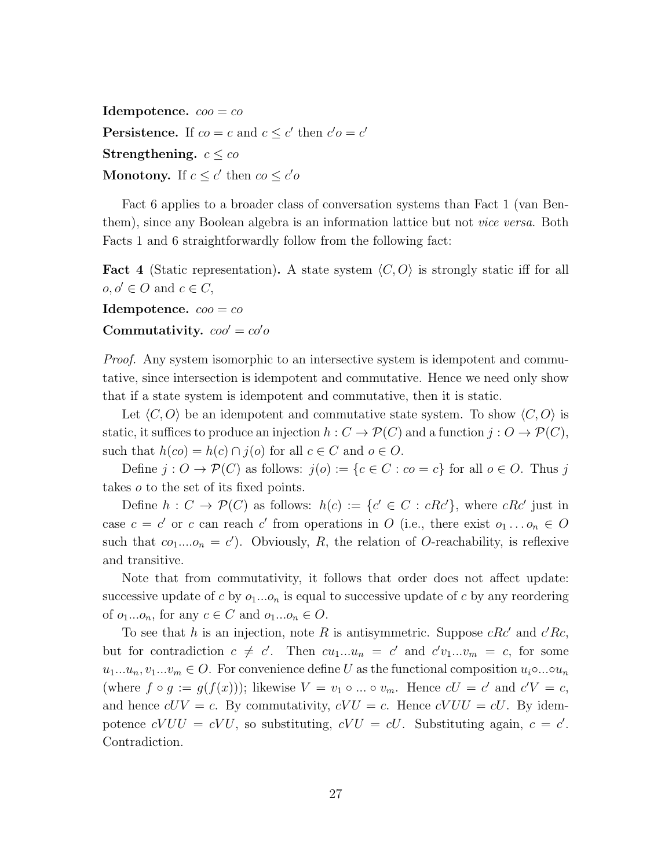Idempotence.  $\cos = \cos$ **Persistence.** If  $co = c$  and  $c \leq c'$  then  $c'o = c'$ Strengthening.  $c < c_0$ Monotony. If  $c \leq c'$  then  $co \leq c'o$ 

Fact 6 applies to a broader class of conversation systems than Fact 1 (van Benthem), since any Boolean algebra is an information lattice but not vice versa. Both Facts 1 and 6 straightforwardly follow from the following fact:

**Fact 4** (Static representation). A state system  $\langle C, O \rangle$  is strongly static iff for all  $o, o' \in O$  and  $c \in C$ ,

Idempotence.  $\cos = \cos$ Commutativity.  $\cos' = \cos' \theta$ 

*Proof.* Any system isomorphic to an intersective system is idempotent and commutative, since intersection is idempotent and commutative. Hence we need only show that if a state system is idempotent and commutative, then it is static.

Let  $\langle C, O \rangle$  be an idempotent and commutative state system. To show  $\langle C, O \rangle$  is static, it suffices to produce an injection  $h: C \to \mathcal{P}(C)$  and a function  $j: O \to \mathcal{P}(C)$ , such that  $h(co) = h(c) \cap j(o)$  for all  $c \in C$  and  $o \in O$ .

Define  $j: O \to \mathcal{P}(C)$  as follows:  $j(o) := \{c \in C : co = c\}$  for all  $o \in O$ . Thus j takes o to the set of its fixed points.

Define  $h: C \to \mathcal{P}(C)$  as follows:  $h(c) := \{c' \in C : cRc'\}$ , where  $cRc'$  just in case  $c = c'$  or c can reach c' from operations in O (i.e., there exist  $o_1 \dots o_n \in O$ such that  $co_1...o_n = c'$ ). Obviously, R, the relation of O-reachability, is reflexive and transitive.

Note that from commutativity, it follows that order does not affect update: successive update of c by  $o_1...o_n$  is equal to successive update of c by any reordering of  $o_1...o_n$ , for any  $c \in C$  and  $o_1...o_n \in O$ .

To see that h is an injection, note R is antisymmetric. Suppose  $cRc'$  and  $c'Rc$ , but for contradiction  $c \neq c'$ . Then  $cu_1...u_n = c'$  and  $c'v_1...v_m = c$ , for some  $u_1...u_n, v_1...v_m \in O$ . For convenience define U as the functional composition  $u_i \circ ... \circ u_n$ (where  $f \circ g := g(f(x))$ ); likewise  $V = v_1 \circ ... \circ v_m$ . Hence  $cU = c'$  and  $c'V = c$ , and hence  $cUV = c$ . By commutativity,  $cVU = c$ . Hence  $cVUU = cU$ . By idempotence  $cVUU = cVU$ , so substituting,  $cVU = cU$ . Substituting again,  $c = c'$ . Contradiction.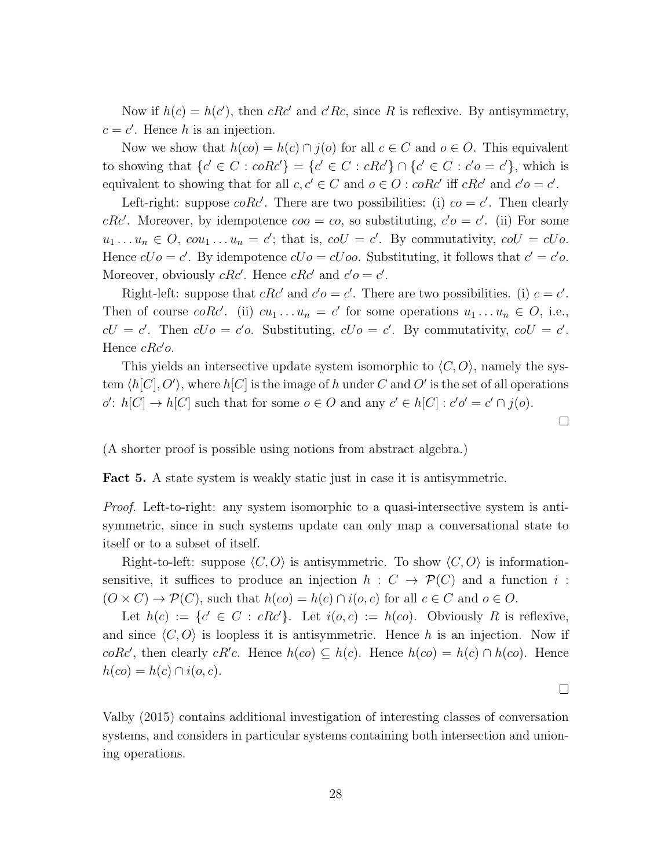Now if  $h(c) = h(c')$ , then  $cRc'$  and  $c'Rc$ , since R is reflexive. By antisymmetry,  $c = c'$ . Hence h is an injection.

Now we show that  $h(co) = h(c) \cap j(o)$  for all  $c \in C$  and  $o \in O$ . This equivalent to showing that  $\{c' \in C : c\mathbb{R}c'\} = \{c' \in C : c\mathbb{R}c'\} \cap \{c' \in C : c'o = c'\}$ , which is equivalent to showing that for all  $c, c' \in C$  and  $o \in O : coRc'$  iff  $cRc'$  and  $c'o = c'$ .

Left-right: suppose  $\alpha \in \mathbb{R}$ . There are two possibilities: (i)  $\alpha = c'$ . Then clearly cRc'. Moreover, by idempotence  $\cos = \cos$ , so substituting,  $c' = c'$ . (ii) For some  $u_1 \dots u_n \in O$ ,  $cou_1 \dots u_n = c'$ ; that is,  $colU = c'$ . By commutativity,  $colU = clO$ . Hence  $cUo = c'$ . By idempotence  $cUo = cUoo$ . Substituting, it follows that  $c' = c'o$ . Moreover, obviously  $cRc'$ . Hence  $cRc'$  and  $c'o = c'$ .

Right-left: suppose that  $cRc'$  and  $c'o = c'$ . There are two possibilities. (i)  $c = c'$ . Then of course  $\text{coRc}'$ . (ii)  $cu_1 \ldots u_n = c'$  for some operations  $u_1 \ldots u_n \in O$ , i.e.,  $cU = c'$ . Then  $cUo = c'o$ . Substituting,  $cUo = c'$ . By commutativity,  $coU = c'$ . Hence  $cRc$ 'o.

This yields an intersective update system isomorphic to  $\langle C, O \rangle$ , namely the system  $\langle h[C], O' \rangle$ , where  $h[C]$  is the image of h under C and O' is the set of all operations  $o' : h[C] \to h[C]$  such that for some  $o \in O$  and any  $c' \in h[C] : c'o' = c' \cap j(o)$ .

(A shorter proof is possible using notions from abstract algebra.)

Fact 5. A state system is weakly static just in case it is antisymmetric.

Proof. Left-to-right: any system isomorphic to a quasi-intersective system is antisymmetric, since in such systems update can only map a conversational state to itself or to a subset of itself.

Right-to-left: suppose  $\langle C, O \rangle$  is antisymmetric. To show  $\langle C, O \rangle$  is informationsensitive, it suffices to produce an injection  $h : C \rightarrow \mathcal{P}(C)$  and a function i:  $(O \times C) \rightarrow \mathcal{P}(C)$ , such that  $h(co) = h(c) \cap i(o, c)$  for all  $c \in C$  and  $o \in O$ .

Let  $h(c) := \{c' \in C : cRc'\}.$  Let  $i(o, c) := h(co).$  Obviously R is reflexive, and since  $\langle C, O \rangle$  is loopless it is antisymmetric. Hence h is an injection. Now if coRc', then clearly cR'c. Hence  $h(co) \subseteq h(c)$ . Hence  $h(co) = h(c) \cap h(co)$ . Hence  $h(co) = h(c) \cap i(o, c).$ 

 $\Box$ 

Valby (2015) contains additional investigation of interesting classes of conversation systems, and considers in particular systems containing both intersection and unioning operations.

 $\Box$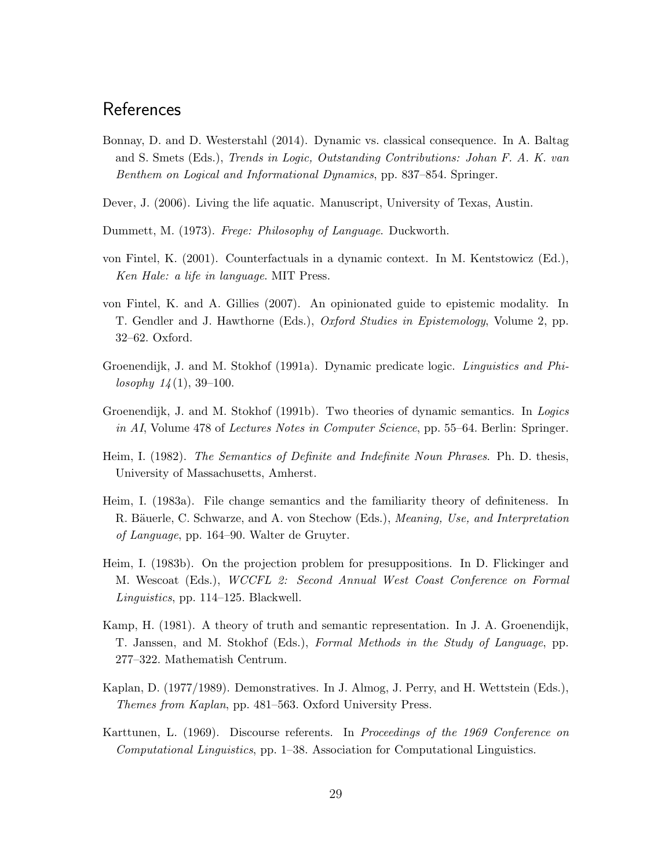## **References**

- Bonnay, D. and D. Westerstahl (2014). Dynamic vs. classical consequence. In A. Baltag and S. Smets (Eds.), Trends in Logic, Outstanding Contributions: Johan F. A. K. van Benthem on Logical and Informational Dynamics, pp. 837–854. Springer.
- Dever, J. (2006). Living the life aquatic. Manuscript, University of Texas, Austin.
- Dummett, M. (1973). Frege: Philosophy of Language. Duckworth.
- von Fintel, K. (2001). Counterfactuals in a dynamic context. In M. Kentstowicz (Ed.), Ken Hale: a life in language. MIT Press.
- von Fintel, K. and A. Gillies (2007). An opinionated guide to epistemic modality. In T. Gendler and J. Hawthorne (Eds.), Oxford Studies in Epistemology, Volume 2, pp. 32–62. Oxford.
- Groenendijk, J. and M. Stokhof (1991a). Dynamic predicate logic. Linguistics and Phi $losophy 14(1), 39-100.$
- Groenendijk, J. and M. Stokhof (1991b). Two theories of dynamic semantics. In Logics in AI, Volume 478 of Lectures Notes in Computer Science, pp. 55–64. Berlin: Springer.
- Heim, I. (1982). The Semantics of Definite and Indefinite Noun Phrases. Ph. D. thesis, University of Massachusetts, Amherst.
- Heim, I. (1983a). File change semantics and the familiarity theory of definiteness. In R. Bäuerle, C. Schwarze, and A. von Stechow (Eds.), *Meaning, Use, and Interpretation* of Language, pp. 164–90. Walter de Gruyter.
- Heim, I. (1983b). On the projection problem for presuppositions. In D. Flickinger and M. Wescoat (Eds.), WCCFL 2: Second Annual West Coast Conference on Formal Linguistics, pp. 114–125. Blackwell.
- Kamp, H. (1981). A theory of truth and semantic representation. In J. A. Groenendijk, T. Janssen, and M. Stokhof (Eds.), Formal Methods in the Study of Language, pp. 277–322. Mathematish Centrum.
- Kaplan, D. (1977/1989). Demonstratives. In J. Almog, J. Perry, and H. Wettstein (Eds.), Themes from Kaplan, pp. 481–563. Oxford University Press.
- Karttunen, L. (1969). Discourse referents. In Proceedings of the 1969 Conference on Computational Linguistics, pp. 1–38. Association for Computational Linguistics.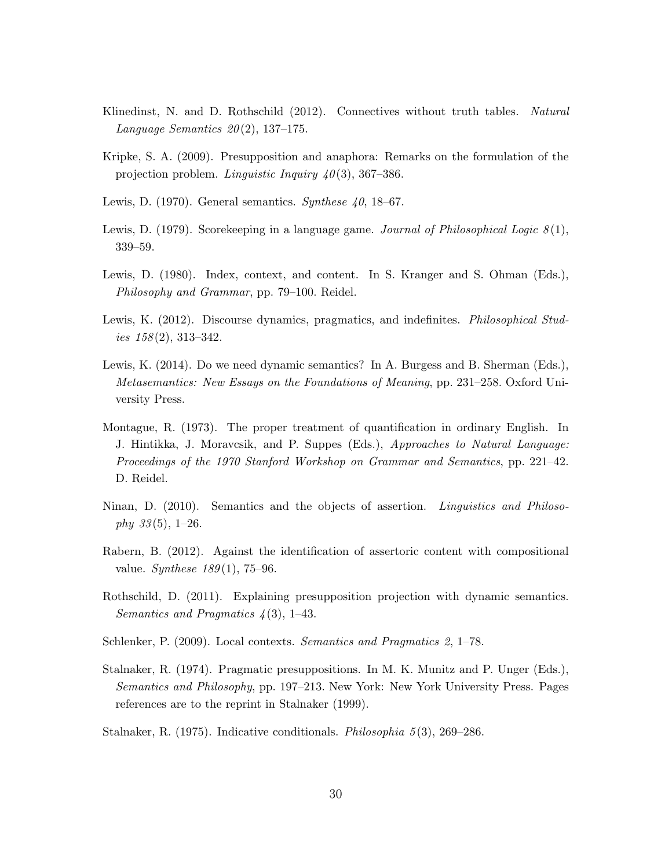- Klinedinst, N. and D. Rothschild (2012). Connectives without truth tables. Natural Language Semantics  $20(2)$ , 137-175.
- Kripke, S. A. (2009). Presupposition and anaphora: Remarks on the formulation of the projection problem. Linguistic Inquiry  $40(3)$ , 367–386.
- Lewis, D. (1970). General semantics. Synthese  $40, 18-67$ .
- Lewis, D. (1979). Scorekeeping in a language game. Journal of Philosophical Logic  $8(1)$ , 339–59.
- Lewis, D. (1980). Index, context, and content. In S. Kranger and S. Ohman (Eds.), Philosophy and Grammar, pp. 79–100. Reidel.
- Lewis, K. (2012). Discourse dynamics, pragmatics, and indefinites. Philosophical Studies  $158(2)$ , 313-342.
- Lewis, K. (2014). Do we need dynamic semantics? In A. Burgess and B. Sherman (Eds.), Metasemantics: New Essays on the Foundations of Meaning, pp. 231–258. Oxford University Press.
- Montague, R. (1973). The proper treatment of quantification in ordinary English. In J. Hintikka, J. Moravcsik, and P. Suppes (Eds.), Approaches to Natural Language: Proceedings of the 1970 Stanford Workshop on Grammar and Semantics, pp. 221–42. D. Reidel.
- Ninan, D. (2010). Semantics and the objects of assertion. *Linguistics and Philoso*phy  $33(5)$ , 1–26.
- Rabern, B. (2012). Against the identification of assertoric content with compositional value. Synthese  $189(1)$ , 75–96.
- Rothschild, D. (2011). Explaining presupposition projection with dynamic semantics. Semantics and Pragmatics  $\frac{1}{4}(3)$ , 1–43.
- Schlenker, P. (2009). Local contexts. Semantics and Pragmatics 2, 1–78.
- Stalnaker, R. (1974). Pragmatic presuppositions. In M. K. Munitz and P. Unger (Eds.), Semantics and Philosophy, pp. 197–213. New York: New York University Press. Pages references are to the reprint in Stalnaker (1999).
- Stalnaker, R. (1975). Indicative conditionals. *Philosophia*  $5(3)$ , 269–286.